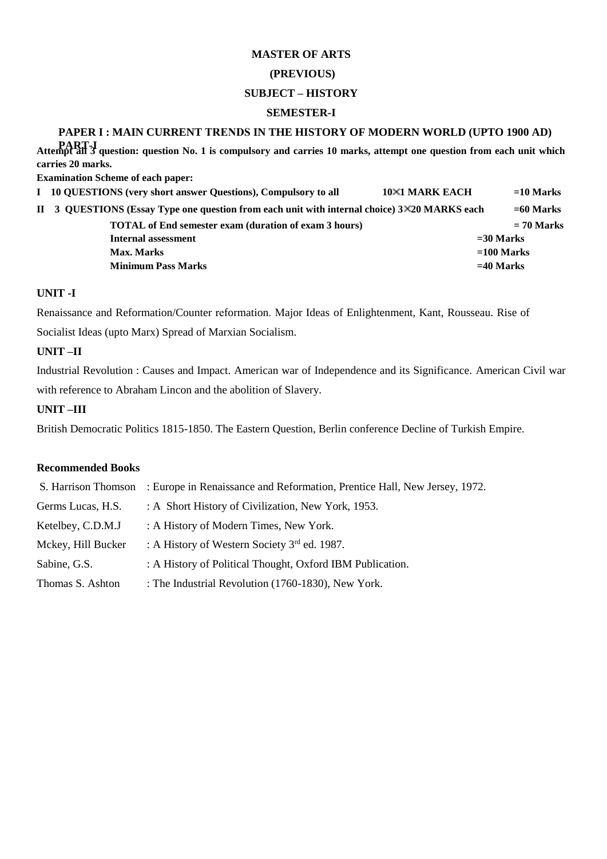## **MASTER OF ARTS (PREVIOUS) SUBJECT – HISTORY SEMESTER-I**

## **PAPER I : MAIN CURRENT TRENDS IN THE HISTORY OF MODERN WORLD (UPTO 1900 AD)**

**PART-I Attempt all 3 question: question No. 1 is compulsory and carries 10 marks, attempt one question from each unit which carries 20 marks.** 

**Examination Scheme of each paper:** 

| I 10 QUESTIONS (very short answer Questions), Compulsory to all                              | 10×1 MARK EACH | $=$ 10 Marks |
|----------------------------------------------------------------------------------------------|----------------|--------------|
| II 3 QUESTIONS (Essay Type one question from each unit with internal choice) 3×20 MARKS each |                | $=60$ Marks  |
| <b>TOTAL</b> of End semester exam (duration of exam 3 hours)                                 |                | $= 70$ Marks |
| Internal assessment                                                                          |                | $=$ 30 Marks |
| Max. Marks                                                                                   |                | $=100$ Marks |
| <b>Minimum Pass Marks</b>                                                                    |                | $=$ 40 Marks |
|                                                                                              |                |              |

## **UNIT -I**

Renaissance and Reformation/Counter reformation. Major Ideas of Enlightenment, Kant, Rousseau. Rise of Socialist Ideas (upto Marx) Spread of Marxian Socialism.

## **UNIT –II**

Industrial Revolution : Causes and Impact. American war of Independence and its Significance. American Civil war with reference to Abraham Lincon and the abolition of Slavery.

## **UNIT –III**

British Democratic Politics 1815-1850. The Eastern Question, Berlin conference Decline of Turkish Empire.

| S. Harrison Thomson | : Europe in Renaissance and Reformation, Prentice Hall, New Jersey, 1972. |
|---------------------|---------------------------------------------------------------------------|
| Germs Lucas, H.S.   | : A Short History of Civilization, New York, 1953.                        |
| Ketelbey, C.D.M.J   | : A History of Modern Times, New York.                                    |
| Mckey, Hill Bucker  | : A History of Western Society $3rd$ ed. 1987.                            |
| Sabine, G.S.        | : A History of Political Thought, Oxford IBM Publication.                 |
| Thomas S. Ashton    | : The Industrial Revolution (1760-1830), New York.                        |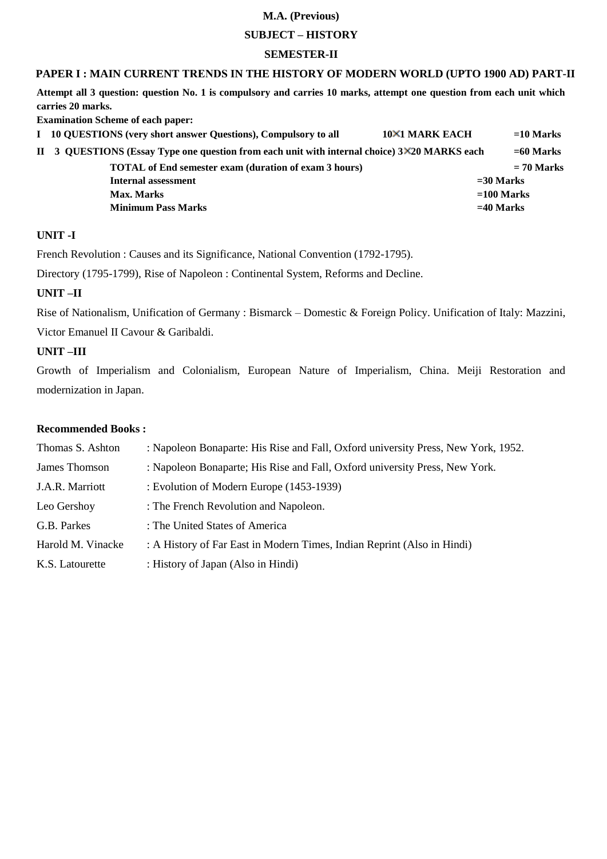## **SUBJECT – HISTORY**

#### **SEMESTER-II**

## **PAPER I : MAIN CURRENT TRENDS IN THE HISTORY OF MODERN WORLD (UPTO 1900 AD) PART-II**

**Attempt all 3 question: question No. 1 is compulsory and carries 10 marks, attempt one question from each unit which carries 20 marks.** 

**Examination Scheme of each paper:** 

| I 10 QUESTIONS (very short answer Questions), Compulsory to all                              | 10×1 MARK EACH | $=10$ Marks  |
|----------------------------------------------------------------------------------------------|----------------|--------------|
| II 3 QUESTIONS (Essay Type one question from each unit with internal choice) 3×20 MARKS each |                | $=60$ Marks  |
| <b>TOTAL</b> of End semester exam (duration of exam 3 hours)                                 |                | $= 70$ Marks |
| Internal assessment                                                                          |                | $=$ 30 Marks |
| <b>Max. Marks</b>                                                                            |                | $=100$ Marks |
| <b>Minimum Pass Marks</b>                                                                    |                | $=$ 40 Marks |
|                                                                                              |                |              |

#### **UNIT -I**

French Revolution : Causes and its Significance, National Convention (1792-1795).

Directory (1795-1799), Rise of Napoleon : Continental System, Reforms and Decline.

#### **UNIT –II**

Rise of Nationalism, Unification of Germany : Bismarck – Domestic & Foreign Policy. Unification of Italy: Mazzini,

Victor Emanuel II Cavour & Garibaldi.

## **UNIT –III**

Growth of Imperialism and Colonialism, European Nature of Imperialism, China. Meiji Restoration and modernization in Japan.

| Thomas S. Ashton  | : Napoleon Bonaparte: His Rise and Fall, Oxford university Press, New York, 1952. |
|-------------------|-----------------------------------------------------------------------------------|
| James Thomson     | : Napoleon Bonaparte; His Rise and Fall, Oxford university Press, New York.       |
| J.A.R. Marriott   | : Evolution of Modern Europe (1453-1939)                                          |
| Leo Gershoy       | : The French Revolution and Napoleon.                                             |
| G.B. Parkes       | : The United States of America                                                    |
| Harold M. Vinacke | : A History of Far East in Modern Times, Indian Reprint (Also in Hindi)           |
| K.S. Latourette   | : History of Japan (Also in Hindi)                                                |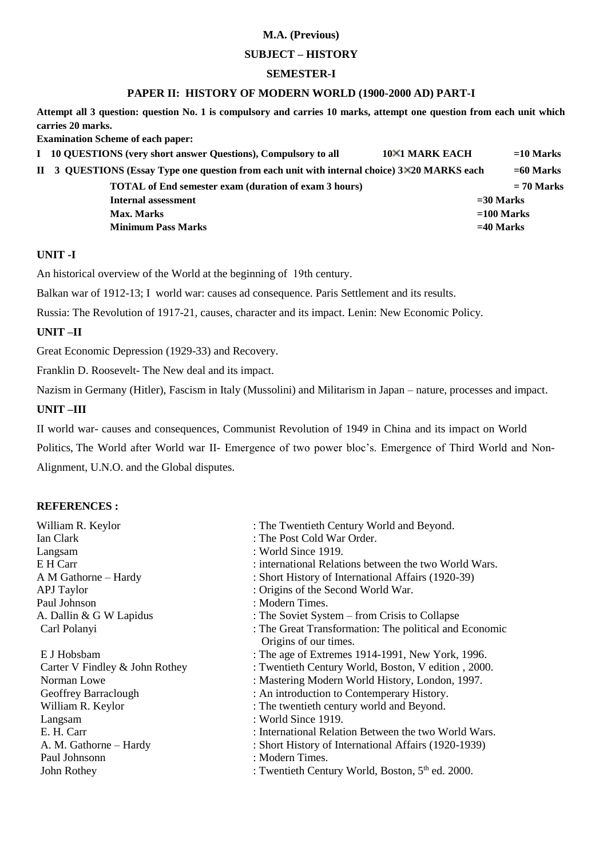#### **SUBJECT – HISTORY**

#### **SEMESTER-I**

### **PAPER II: HISTORY OF MODERN WORLD (1900-2000 AD) PART-I**

**Attempt all 3 question: question No. 1 is compulsory and carries 10 marks, attempt one question from each unit which carries 20 marks.** 

**Examination Scheme of each paper:** 

**I** 10 QUESTIONS (very short answer Questions), Compulsory to all  $10 \times 1$  MARK EACH =10 Marks **II 3 QUESTIONS (Essay Type one question from each unit with internal choice) 3 20 MARKS each =60 Marks TOTAL of End semester exam (duration of exam 3 hours) = 70 Marks Internal assessment =30 Marks Max. Marks =100 Marks Minimum Pass Marks**   $=40$  Marks  $=40$  Marks

#### **UNIT -I**

An historical overview of the World at the beginning of 19th century.

Balkan war of 1912-13; I world war: causes ad consequence. Paris Settlement and its results.

Russia: The Revolution of 1917-21, causes, character and its impact. Lenin: New Economic Policy.

## **UNIT –II**

Great Economic Depression (1929-33) and Recovery.

Franklin D. Roosevelt- The New deal and its impact.

Nazism in Germany (Hitler), Fascism in Italy (Mussolini) and Militarism in Japan – nature, processes and impact.

## **UNIT –III**

II world war- causes and consequences, Communist Revolution of 1949 in China and its impact on World

Politics, The World after World war II- Emergence of two power bloc's. Emergence of Third World and Non-Alignment, U.N.O. and the Global disputes.

## **REFERENCES :**

| William R. Keylor              | : The Twentieth Century World and Beyond.                    |
|--------------------------------|--------------------------------------------------------------|
| Ian Clark                      | : The Post Cold War Order.                                   |
| Langsam                        | : World Since 1919.                                          |
| E H Carr                       | : international Relations between the two World Wars.        |
| A M Gathorne - Hardy           | : Short History of International Affairs (1920-39)           |
| <b>APJ</b> Taylor              | : Origins of the Second World War.                           |
| Paul Johnson                   | : Modern Times.                                              |
| A. Dallin & G W Lapidus        | : The Soviet System – from Crisis to Collapse                |
| Carl Polanyi                   | : The Great Transformation: The political and Economic       |
|                                | Origins of our times.                                        |
| E J Hobsbam                    | : The age of Extremes 1914-1991, New York, 1996.             |
| Carter V Findley & John Rothey | : Twentieth Century World, Boston, V edition, 2000.          |
| Norman Lowe                    | : Mastering Modern World History, London, 1997.              |
| Geoffrey Barraclough           | : An introduction to Contemperary History.                   |
| William R. Keylor              | : The twentieth century world and Beyond.                    |
| Langsam                        | : World Since 1919.                                          |
| E. H. Carr                     | : International Relation Between the two World Wars.         |
| A. M. Gathorne – Hardy         | : Short History of International Affairs (1920-1939)         |
| Paul Johnsonn                  | : Modern Times.                                              |
| John Rothey                    | : Twentieth Century World, Boston, 5 <sup>th</sup> ed. 2000. |
|                                |                                                              |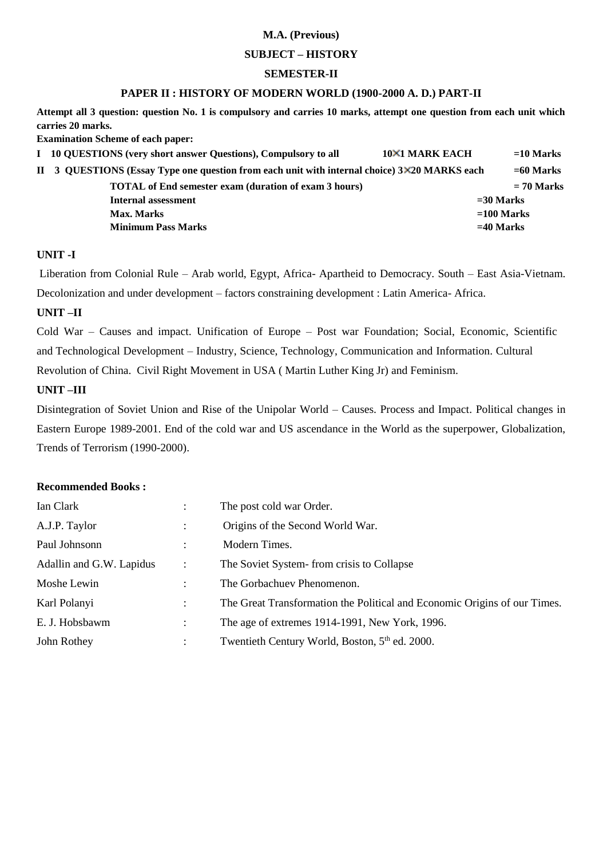### **SUBJECT – HISTORY**

#### **SEMESTER-II**

## **PAPER II : HISTORY OF MODERN WORLD (1900-2000 A. D.) PART-II**

**Attempt all 3 question: question No. 1 is compulsory and carries 10 marks, attempt one question from each unit which carries 20 marks.** 

**Examination Scheme of each paper:** 

| I 10 QUESTIONS (very short answer Questions), Compulsory to all                              | <b>10×1 MARK EACH</b> | $=10$ Marks  |
|----------------------------------------------------------------------------------------------|-----------------------|--------------|
| II 3 QUESTIONS (Essay Type one question from each unit with internal choice) 3×20 MARKS each |                       | $= 60$ Marks |
| <b>TOTAL</b> of End semester exam (duration of exam 3 hours)                                 |                       | $= 70$ Marks |
| Internal assessment                                                                          |                       | $=$ 30 Marks |
| <b>Max. Marks</b>                                                                            |                       | $=100$ Marks |
| <b>Minimum Pass Marks</b>                                                                    |                       | $=40$ Marks  |

#### **UNIT -I**

 Liberation from Colonial Rule – Arab world, Egypt, Africa- Apartheid to Democracy. South – East Asia-Vietnam. Decolonization and under development – factors constraining development : Latin America- Africa.

## **UNIT –II**

Cold War – Causes and impact. Unification of Europe – Post war Foundation; Social, Economic, Scientific and Technological Development – Industry, Science, Technology, Communication and Information. Cultural Revolution of China. Civil Right Movement in USA ( Martin Luther King Jr) and Feminism.

#### **UNIT –III**

Disintegration of Soviet Union and Rise of the Unipolar World – Causes. Process and Impact. Political changes in Eastern Europe 1989-2001. End of the cold war and US ascendance in the World as the superpower, Globalization, Trends of Terrorism (1990-2000).

| Ian Clark                |                | The post cold war Order.                                                  |
|--------------------------|----------------|---------------------------------------------------------------------------|
| A.J.P. Taylor            |                | Origins of the Second World War.                                          |
| Paul Johnsonn            |                | Modern Times.                                                             |
| Adallin and G.W. Lapidus | $\ddot{\cdot}$ | The Soviet System-from crisis to Collapse                                 |
| Moshe Lewin              |                | The Gorbachuev Phenomenon.                                                |
| Karl Polanyi             |                | The Great Transformation the Political and Economic Origins of our Times. |
| E. J. Hobsbawm           |                | The age of extremes 1914-1991, New York, 1996.                            |
| John Rothey              |                | Twentieth Century World, Boston, 5 <sup>th</sup> ed. 2000.                |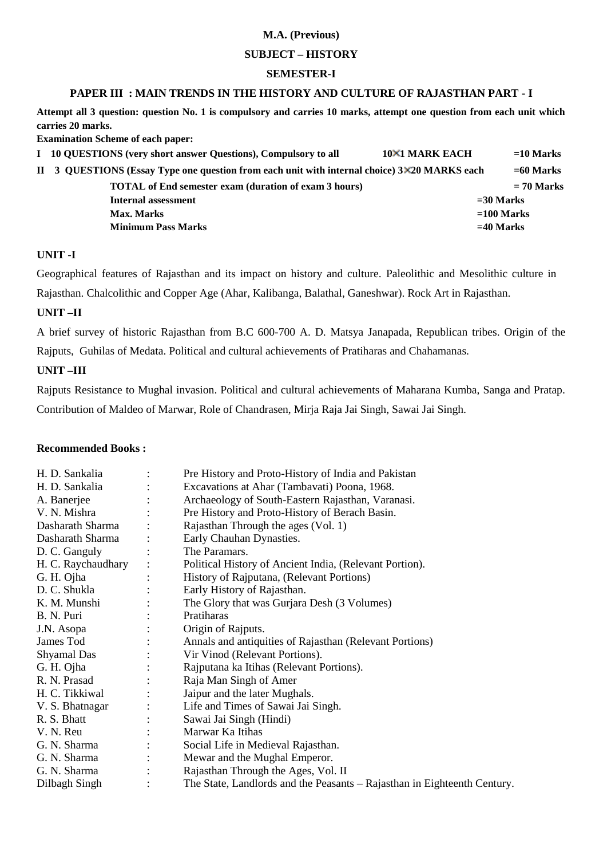### **SUBJECT – HISTORY**

### **SEMESTER-I**

## **PAPER III : MAIN TRENDS IN THE HISTORY AND CULTURE OF RAJASTHAN PART - I**

**Attempt all 3 question: question No. 1 is compulsory and carries 10 marks, attempt one question from each unit which carries 20 marks.** 

**Examination Scheme of each paper:** 

| I 10 QUESTIONS (very short answer Questions), Compulsory to all                              | <b>10×1 MARK EACH</b> | $=$ 10 Marks |
|----------------------------------------------------------------------------------------------|-----------------------|--------------|
| II 3 QUESTIONS (Essay Type one question from each unit with internal choice) 3×20 MARKS each |                       | $= 60$ Marks |
| <b>TOTAL</b> of End semester exam (duration of exam 3 hours)                                 |                       | $= 70$ Marks |
| Internal assessment                                                                          |                       | $=$ 30 Marks |
| Max. Marks                                                                                   |                       | $=100$ Marks |
| <b>Minimum Pass Marks</b>                                                                    |                       | $=40$ Marks  |

#### **UNIT -I**

Geographical features of Rajasthan and its impact on history and culture. Paleolithic and Mesolithic culture in Rajasthan. Chalcolithic and Copper Age (Ahar, Kalibanga, Balathal, Ganeshwar). Rock Art in Rajasthan.

## **UNIT –II**

A brief survey of historic Rajasthan from B.C 600-700 A. D. Matsya Janapada, Republican tribes. Origin of the Rajputs, Guhilas of Medata. Political and cultural achievements of Pratiharas and Chahamanas.

## **UNIT –III**

Rajputs Resistance to Mughal invasion. Political and cultural achievements of Maharana Kumba, Sanga and Pratap. Contribution of Maldeo of Marwar, Role of Chandrasen, Mirja Raja Jai Singh, Sawai Jai Singh.

| H. D. Sankalia     | Pre History and Proto-History of India and Pakistan                      |
|--------------------|--------------------------------------------------------------------------|
| H. D. Sankalia     | Excavations at Ahar (Tambavati) Poona, 1968.                             |
| A. Banerjee        | Archaeology of South-Eastern Rajasthan, Varanasi.                        |
| V. N. Mishra       | Pre History and Proto-History of Berach Basin.                           |
| Dasharath Sharma   | Rajasthan Through the ages (Vol. 1)                                      |
| Dasharath Sharma   | Early Chauhan Dynasties.                                                 |
| D. C. Ganguly      | The Paramars.                                                            |
| H. C. Raychaudhary | Political History of Ancient India, (Relevant Portion).                  |
| G. H. Ojha         | History of Rajputana, (Relevant Portions)                                |
| D. C. Shukla       | Early History of Rajasthan.                                              |
| K. M. Munshi       | The Glory that was Gurjara Desh (3 Volumes)                              |
| B. N. Puri         | Pratiharas                                                               |
| J.N. Asopa         | Origin of Rajputs.                                                       |
| James Tod          | Annals and antiquities of Rajasthan (Relevant Portions)                  |
| <b>Shyamal</b> Das | Vir Vinod (Relevant Portions).                                           |
| G. H. Ojha         | Rajputana ka Itihas (Relevant Portions).                                 |
| R. N. Prasad       | Raja Man Singh of Amer                                                   |
| H. C. Tikkiwal     | Jaipur and the later Mughals.                                            |
| V. S. Bhatnagar    | Life and Times of Sawai Jai Singh.                                       |
| R. S. Bhatt        | Sawai Jai Singh (Hindi)                                                  |
| V. N. Reu          | Marwar Ka Itihas                                                         |
| G. N. Sharma       | Social Life in Medieval Rajasthan.                                       |
| G. N. Sharma       | Mewar and the Mughal Emperor.                                            |
| G. N. Sharma       | Rajasthan Through the Ages, Vol. II                                      |
| Dilbagh Singh      | The State, Landlords and the Peasants – Rajasthan in Eighteenth Century. |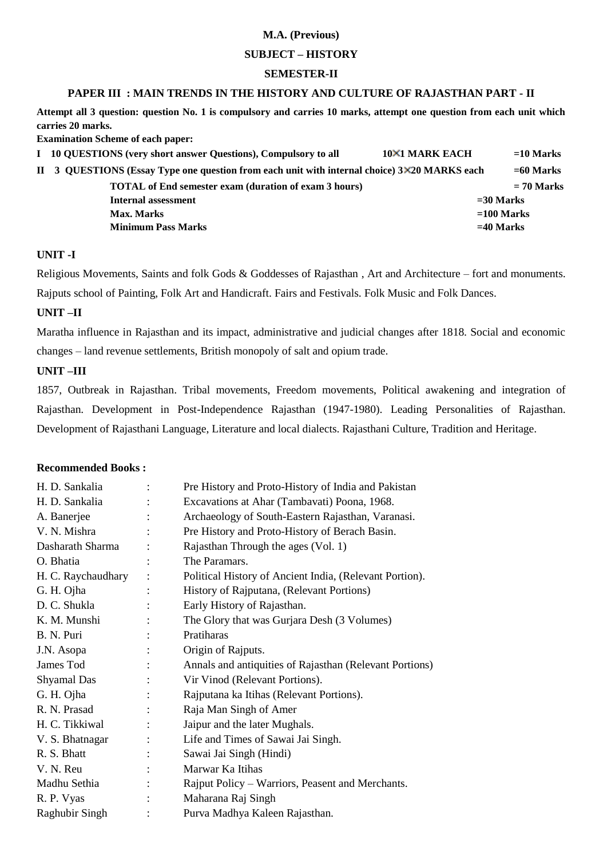#### **SUBJECT – HISTORY**

### **SEMESTER-II**

## **PAPER III : MAIN TRENDS IN THE HISTORY AND CULTURE OF RAJASTHAN PART - II**

**Attempt all 3 question: question No. 1 is compulsory and carries 10 marks, attempt one question from each unit which carries 20 marks.** 

**Examination Scheme of each paper:** 

| I 10 QUESTIONS (very short answer Questions), Compulsory to all                              | <b>10×1 MARK EACH</b> | $=$ 10 Marks |
|----------------------------------------------------------------------------------------------|-----------------------|--------------|
| II 3 QUESTIONS (Essay Type one question from each unit with internal choice) 3×20 MARKS each |                       | $= 60$ Marks |
| <b>TOTAL</b> of End semester exam (duration of exam 3 hours)                                 |                       | $= 70$ Marks |
| Internal assessment                                                                          | $=$ 30 Marks          |              |
| Max. Marks                                                                                   | $=100$ Marks          |              |
| <b>Minimum Pass Marks</b>                                                                    | $=40$ Marks           |              |

## **UNIT -I**

Religious Movements, Saints and folk Gods & Goddesses of Rajasthan , Art and Architecture – fort and monuments. Rajputs school of Painting, Folk Art and Handicraft. Fairs and Festivals. Folk Music and Folk Dances.

## **UNIT –II**

Maratha influence in Rajasthan and its impact, administrative and judicial changes after 1818. Social and economic changes – land revenue settlements, British monopoly of salt and opium trade.

## **UNIT –III**

1857, Outbreak in Rajasthan. Tribal movements, Freedom movements, Political awakening and integration of Rajasthan. Development in Post-Independence Rajasthan (1947-1980). Leading Personalities of Rajasthan. Development of Rajasthani Language, Literature and local dialects. Rajasthani Culture, Tradition and Heritage.

| H. D. Sankalia     | $\ddot{\cdot}$ | Pre History and Proto-History of India and Pakistan     |
|--------------------|----------------|---------------------------------------------------------|
| H. D. Sankalia     |                | Excavations at Ahar (Tambavati) Poona, 1968.            |
| A. Banerjee        |                | Archaeology of South-Eastern Rajasthan, Varanasi.       |
| V. N. Mishra       |                | Pre History and Proto-History of Berach Basin.          |
| Dasharath Sharma   |                | Rajasthan Through the ages (Vol. 1)                     |
| O. Bhatia          |                | The Paramars.                                           |
| H. C. Raychaudhary |                | Political History of Ancient India, (Relevant Portion). |
| G. H. Ojha         |                | History of Rajputana, (Relevant Portions)               |
| D. C. Shukla       |                | Early History of Rajasthan.                             |
| K. M. Munshi       |                | The Glory that was Gurjara Desh (3 Volumes)             |
| B. N. Puri         |                | Pratiharas                                              |
| J.N. Asopa         |                | Origin of Rajputs.                                      |
| James Tod          |                | Annals and antiquities of Rajasthan (Relevant Portions) |
| Shyamal Das        |                | Vir Vinod (Relevant Portions).                          |
| G. H. Ojha         |                | Rajputana ka Itihas (Relevant Portions).                |
| R. N. Prasad       |                | Raja Man Singh of Amer                                  |
| H. C. Tikkiwal     |                | Jaipur and the later Mughals.                           |
| V. S. Bhatnagar    |                | Life and Times of Sawai Jai Singh.                      |
| R. S. Bhatt        |                | Sawai Jai Singh (Hindi)                                 |
| V. N. Reu          |                | Marwar Ka Itihas                                        |
| Madhu Sethia       |                | Rajput Policy – Warriors, Peasent and Merchants.        |
| R. P. Vyas         |                | Maharana Raj Singh                                      |
| Raghubir Singh     |                | Purva Madhya Kaleen Rajasthan.                          |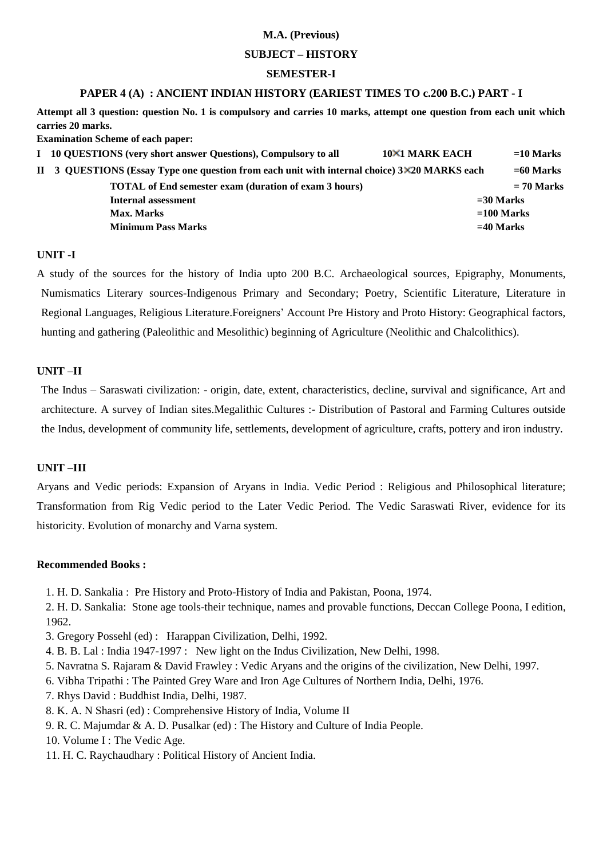#### **SUBJECT – HISTORY**

#### **SEMESTER-I**

#### **PAPER 4 (A) : ANCIENT INDIAN HISTORY (EARIEST TIMES TO c.200 B.C.) PART - I**

**Attempt all 3 question: question No. 1 is compulsory and carries 10 marks, attempt one question from each unit which carries 20 marks.** 

**Examination Scheme of each paper:** 

| I 10 QUESTIONS (very short answer Questions), Compulsory to all                              | <b>10×1 MARK EACH</b> | $=$ 10 Marks |
|----------------------------------------------------------------------------------------------|-----------------------|--------------|
| II 3 QUESTIONS (Essay Type one question from each unit with internal choice) 3×20 MARKS each |                       | $= 60$ Marks |
| <b>TOTAL</b> of End semester exam (duration of exam 3 hours)                                 |                       | $= 70$ Marks |
| Internal assessment                                                                          |                       | $=$ 30 Marks |
| Max. Marks                                                                                   |                       | $=100$ Marks |
| <b>Minimum Pass Marks</b>                                                                    |                       | $=40$ Marks  |

## **UNIT -I**

A study of the sources for the history of India upto 200 B.C. Archaeological sources, Epigraphy, Monuments, Numismatics Literary sources-Indigenous Primary and Secondary; Poetry, Scientific Literature, Literature in Regional Languages, Religious Literature.Foreigners' Account Pre History and Proto History: Geographical factors, hunting and gathering (Paleolithic and Mesolithic) beginning of Agriculture (Neolithic and Chalcolithics).

#### **UNIT –II**

The Indus – Saraswati civilization: - origin, date, extent, characteristics, decline, survival and significance, Art and architecture. A survey of Indian sites.Megalithic Cultures :- Distribution of Pastoral and Farming Cultures outside the Indus, development of community life, settlements, development of agriculture, crafts, pottery and iron industry.

## **UNIT –III**

Aryans and Vedic periods: Expansion of Aryans in India. Vedic Period : Religious and Philosophical literature; Transformation from Rig Vedic period to the Later Vedic Period. The Vedic Saraswati River, evidence for its historicity. Evolution of monarchy and Varna system.

#### **Recommended Books :**

1. H. D. Sankalia : Pre History and Proto-History of India and Pakistan, Poona, 1974.

2. H. D. Sankalia: Stone age tools-their technique, names and provable functions, Deccan College Poona, I edition, 1962.

- 3. Gregory Possehl (ed) : Harappan Civilization, Delhi, 1992.
- 4. B. B. Lal : India 1947-1997 : New light on the Indus Civilization, New Delhi, 1998.
- 5. Navratna S. Rajaram & David Frawley : Vedic Aryans and the origins of the civilization, New Delhi, 1997.
- 6. Vibha Tripathi : The Painted Grey Ware and Iron Age Cultures of Northern India, Delhi, 1976.
- 7. Rhys David : Buddhist India, Delhi, 1987.
- 8. K. A. N Shasri (ed) : Comprehensive History of India, Volume II
- 9. R. C. Majumdar & A. D. Pusalkar (ed) : The History and Culture of India People.
- 10. Volume I : The Vedic Age.
- 11. H. C. Raychaudhary : Political History of Ancient India.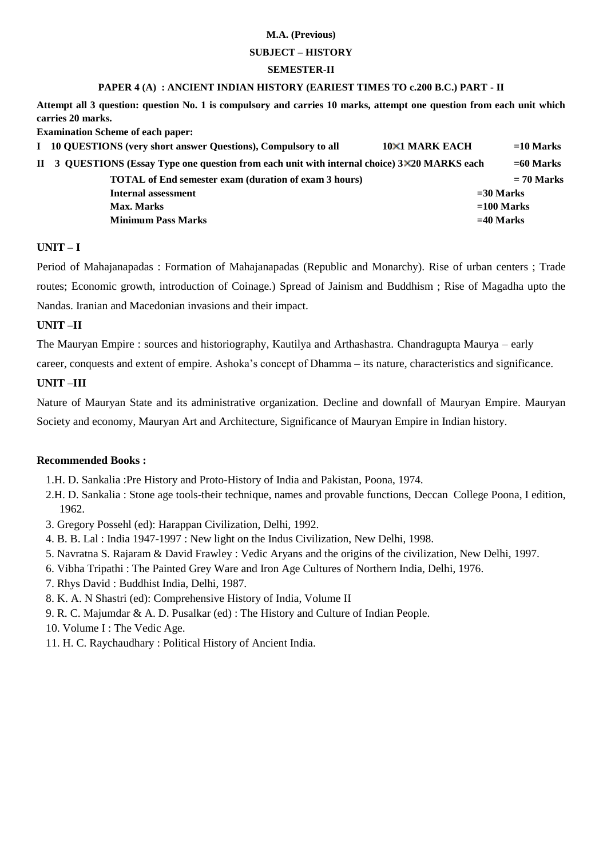## **SUBJECT – HISTORY**

#### **SEMESTER-II**

#### **PAPER 4 (A) : ANCIENT INDIAN HISTORY (EARIEST TIMES TO c.200 B.C.) PART - II**

**Attempt all 3 question: question No. 1 is compulsory and carries 10 marks, attempt one question from each unit which carries 20 marks.** 

**Examination Scheme of each paper:** 

| I 10 QUESTIONS (very short answer Questions), Compulsory to all                              | <b>10×1 MARK EACH</b><br>$=10$ Marks |
|----------------------------------------------------------------------------------------------|--------------------------------------|
| II 3 QUESTIONS (Essay Type one question from each unit with internal choice) 3×20 MARKS each | $= 60$ Marks                         |
| <b>TOTAL of End semester exam (duration of exam 3 hours)</b>                                 | $= 70$ Marks                         |
| Internal assessment                                                                          | $=$ 30 Marks                         |
| <b>Max. Marks</b>                                                                            | $=100$ Marks                         |
| <b>Minimum Pass Marks</b>                                                                    | $=$ 40 Marks                         |
|                                                                                              |                                      |

## **UNIT – I**

Period of Mahajanapadas : Formation of Mahajanapadas (Republic and Monarchy). Rise of urban centers ; Trade routes; Economic growth, introduction of Coinage.) Spread of Jainism and Buddhism ; Rise of Magadha upto the Nandas. Iranian and Macedonian invasions and their impact.

## **UNIT –II**

The Mauryan Empire : sources and historiography, Kautilya and Arthashastra. Chandragupta Maurya – early

career, conquests and extent of empire. Ashoka's concept of Dhamma – its nature, characteristics and significance.

## **UNIT –III**

Nature of Mauryan State and its administrative organization. Decline and downfall of Mauryan Empire. Mauryan Society and economy, Mauryan Art and Architecture, Significance of Mauryan Empire in Indian history.

- 1.H. D. Sankalia :Pre History and Proto-History of India and Pakistan, Poona, 1974.
- 2.H. D. Sankalia : Stone age tools-their technique, names and provable functions, Deccan College Poona, I edition, 1962.
- 3. Gregory Possehl (ed): Harappan Civilization, Delhi, 1992.
- 4. B. B. Lal : India 1947-1997 : New light on the Indus Civilization, New Delhi, 1998.
- 5. Navratna S. Rajaram & David Frawley : Vedic Aryans and the origins of the civilization, New Delhi, 1997.
- 6. Vibha Tripathi : The Painted Grey Ware and Iron Age Cultures of Northern India, Delhi, 1976.
- 7. Rhys David : Buddhist India, Delhi, 1987.
- 8. K. A. N Shastri (ed): Comprehensive History of India, Volume II
- 9. R. C. Majumdar & A. D. Pusalkar (ed) : The History and Culture of Indian People.
- 10. Volume I : The Vedic Age.
- 11. H. C. Raychaudhary : Political History of Ancient India.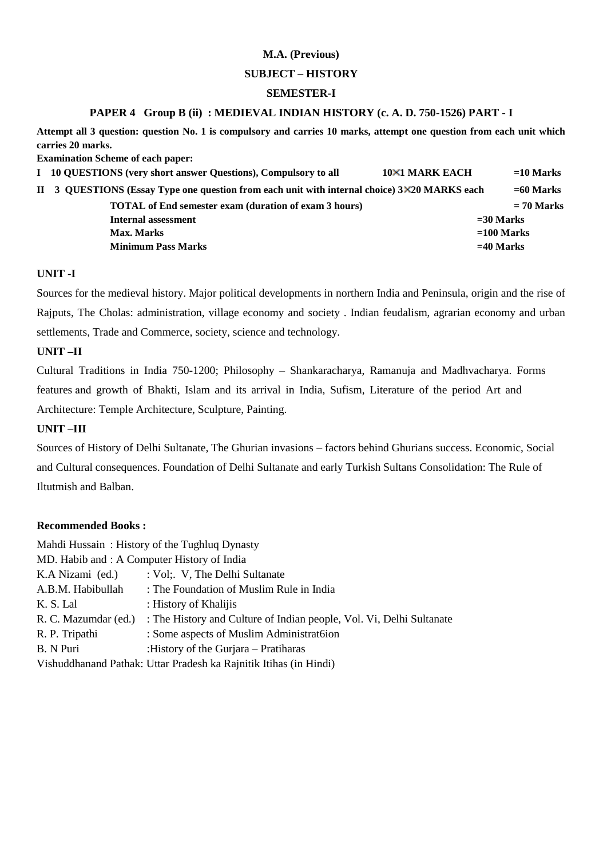#### **SUBJECT – HISTORY**

## **SEMESTER-I**

## **PAPER 4 Group B (ii) : MEDIEVAL INDIAN HISTORY (c. A. D. 750-1526) PART - I**

**Attempt all 3 question: question No. 1 is compulsory and carries 10 marks, attempt one question from each unit which carries 20 marks.** 

**Examination Scheme of each paper:** 

| I 10 QUESTIONS (very short answer Questions), Compulsory to all                              | <b>10×1 MARK EACH</b> | $=10$ Marks  |
|----------------------------------------------------------------------------------------------|-----------------------|--------------|
| II 3 QUESTIONS (Essay Type one question from each unit with internal choice) 3×20 MARKS each |                       | $= 60$ Marks |
| <b>TOTAL</b> of End semester exam (duration of exam 3 hours)                                 |                       | $= 70$ Marks |
| Internal assessment                                                                          |                       | $=$ 30 Marks |
| Max. Marks                                                                                   |                       | $=100$ Marks |
| <b>Minimum Pass Marks</b>                                                                    |                       | $=40$ Marks  |
|                                                                                              |                       |              |

## **UNIT -I**

Sources for the medieval history. Major political developments in northern India and Peninsula, origin and the rise of Rajputs, The Cholas: administration, village economy and society . Indian feudalism, agrarian economy and urban settlements, Trade and Commerce, society, science and technology.

## **UNIT –II**

Cultural Traditions in India 750-1200; Philosophy – Shankaracharya, Ramanuja and Madhvacharya. Forms features and growth of Bhakti, Islam and its arrival in India, Sufism, Literature of the period Art and Architecture: Temple Architecture, Sculpture, Painting.

## **UNIT –III**

Sources of History of Delhi Sultanate, The Ghurian invasions – factors behind Ghurians success. Economic, Social and Cultural consequences. Foundation of Delhi Sultanate and early Turkish Sultans Consolidation: The Rule of Iltutmish and Balban.

| Mahdi Hussain: History of the Tughluq Dynasty                     |                                                                      |  |  |  |  |
|-------------------------------------------------------------------|----------------------------------------------------------------------|--|--|--|--|
| MD. Habib and : A Computer History of India                       |                                                                      |  |  |  |  |
| K.A Nizami (ed.)                                                  | : Vol; V, The Delhi Sultanate                                        |  |  |  |  |
| A.B.M. Habibullah                                                 | : The Foundation of Muslim Rule in India                             |  |  |  |  |
| K. S. Lal                                                         | : History of Khalijis                                                |  |  |  |  |
| R. C. Mazumdar (ed.)                                              | : The History and Culture of Indian people, Vol. Vi, Delhi Sultanate |  |  |  |  |
| R. P. Tripathi                                                    | : Some aspects of Muslim Administratoion                             |  |  |  |  |
| B. N Puri<br>:History of the Gurjara – Pratiharas                 |                                                                      |  |  |  |  |
| Vishuddhanand Pathak: Uttar Pradesh ka Rajnitik Itihas (in Hindi) |                                                                      |  |  |  |  |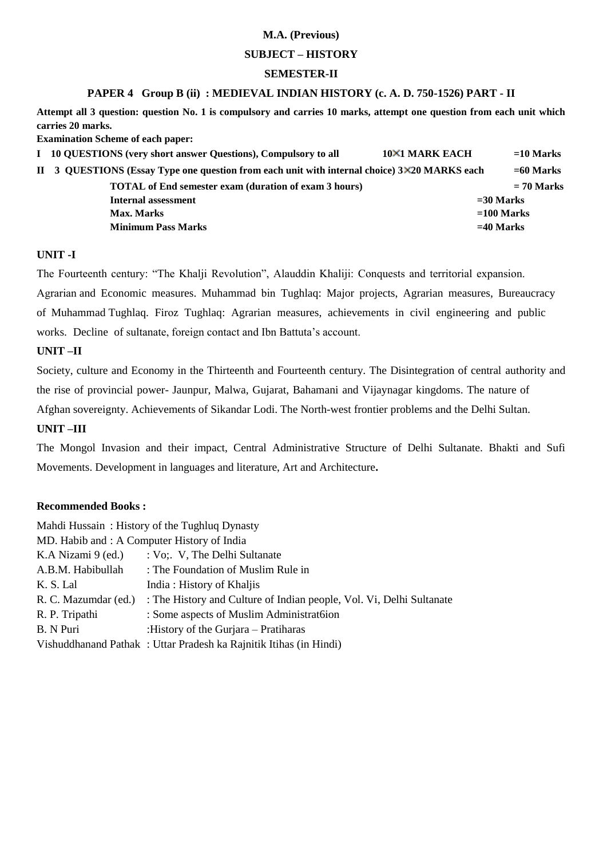### **SUBJECT – HISTORY**

### **SEMESTER-II**

#### **PAPER 4 Group B (ii) : MEDIEVAL INDIAN HISTORY (c. A. D. 750-1526) PART - II**

**Attempt all 3 question: question No. 1 is compulsory and carries 10 marks, attempt one question from each unit which carries 20 marks.** 

**Examination Scheme of each paper:** 

| I 10 QUESTIONS (very short answer Questions), Compulsory to all                              | <b>10×1 MARK EACH</b> | $=$ 10 Marks |
|----------------------------------------------------------------------------------------------|-----------------------|--------------|
| II 3 QUESTIONS (Essay Type one question from each unit with internal choice) 3×20 MARKS each |                       | $= 60$ Marks |
| <b>TOTAL</b> of End semester exam (duration of exam 3 hours)                                 |                       | $= 70$ Marks |
| Internal assessment                                                                          |                       | $=$ 30 Marks |
| <b>Max. Marks</b>                                                                            |                       | $=100$ Marks |
| <b>Minimum Pass Marks</b>                                                                    |                       | $=$ 40 Marks |

## **UNIT -I**

The Fourteenth century: "The Khalji Revolution", Alauddin Khaliji: Conquests and territorial expansion. Agrarian and Economic measures. Muhammad bin Tughlaq: Major projects, Agrarian measures, Bureaucracy of Muhammad Tughlaq. Firoz Tughlaq: Agrarian measures, achievements in civil engineering and public works. Decline of sultanate, foreign contact and Ibn Battuta's account.

## **UNIT –II**

Society, culture and Economy in the Thirteenth and Fourteenth century. The Disintegration of central authority and the rise of provincial power- Jaunpur, Malwa, Gujarat, Bahamani and Vijaynagar kingdoms. The nature of Afghan sovereignty. Achievements of Sikandar Lodi. The North-west frontier problems and the Delhi Sultan.

#### **UNIT –III**

The Mongol Invasion and their impact, Central Administrative Structure of Delhi Sultanate. Bhakti and Sufi Movements. Development in languages and literature, Art and Architecture**.** 

| Mahdi Hussain: History of the Tughluq Dynasty                     |                                                                      |  |  |  |  |
|-------------------------------------------------------------------|----------------------------------------------------------------------|--|--|--|--|
| MD. Habib and : A Computer History of India                       |                                                                      |  |  |  |  |
| K.A Nizami 9 (ed.)                                                | : Vo; V, The Delhi Sultanate                                         |  |  |  |  |
| A.B.M. Habibullah                                                 | : The Foundation of Muslim Rule in                                   |  |  |  |  |
| K. S. Lal                                                         | India: History of Khaljis                                            |  |  |  |  |
| R. C. Mazumdar (ed.)                                              | : The History and Culture of Indian people, Vol. Vi, Delhi Sultanate |  |  |  |  |
| R. P. Tripathi                                                    | : Some aspects of Muslim Administratoion                             |  |  |  |  |
| B. N Puri                                                         | :History of the Gurjara – Pratiharas                                 |  |  |  |  |
| Vishuddhanand Pathak: Uttar Pradesh ka Rajnitik Itihas (in Hindi) |                                                                      |  |  |  |  |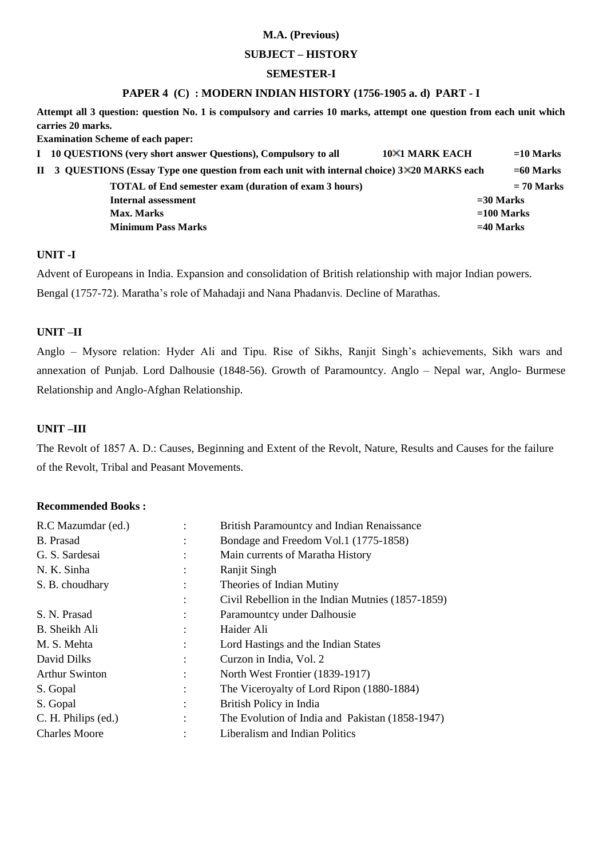#### **SUBJECT – HISTORY**

#### **SEMESTER-I**

## **PAPER 4 (C) : MODERN INDIAN HISTORY (1756-1905 a. d) PART - I**

**Attempt all 3 question: question No. 1 is compulsory and carries 10 marks, attempt one question from each unit which carries 20 marks.** 

**Examination Scheme of each paper:** 

| I 10 QUESTIONS (very short answer Questions), Compulsory to all                              | <b>10×1 MARK EACH</b> | $=$ 10 Marks |
|----------------------------------------------------------------------------------------------|-----------------------|--------------|
| II 3 QUESTIONS (Essay Type one question from each unit with internal choice) 3×20 MARKS each |                       | $=60$ Marks  |
| <b>TOTAL</b> of End semester exam (duration of exam 3 hours)                                 |                       | $= 70$ Marks |
| Internal assessment                                                                          |                       | $=$ 30 Marks |
| Max. Marks                                                                                   |                       | $=100$ Marks |
| <b>Minimum Pass Marks</b>                                                                    | $=40$ Marks           |              |

## **UNIT -I**

Advent of Europeans in India. Expansion and consolidation of British relationship with major Indian powers. Bengal (1757-72). Maratha's role of Mahadaji and Nana Phadanvis. Decline of Marathas.

## **UNIT –II**

Anglo – Mysore relation: Hyder Ali and Tipu. Rise of Sikhs, Ranjit Singh's achievements, Sikh wars and annexation of Punjab. Lord Dalhousie (1848-56). Growth of Paramountcy. Anglo – Nepal war, Anglo- Burmese Relationship and Anglo-Afghan Relationship.

## **UNIT –III**

The Revolt of 1857 A. D.: Causes, Beginning and Extent of the Revolt, Nature, Results and Causes for the failure of the Revolt, Tribal and Peasant Movements.

| R.C Mazumdar (ed.)    |                | British Paramountcy and Indian Renaissance        |
|-----------------------|----------------|---------------------------------------------------|
| <b>B.</b> Prasad      |                | Bondage and Freedom Vol.1 (1775-1858)             |
| G. S. Sardesai        | ٠              | Main currents of Maratha History                  |
| N. K. Sinha           |                | Ranjit Singh                                      |
| S. B. choudhary       | $\ddot{\cdot}$ | Theories of Indian Mutiny                         |
|                       |                | Civil Rebellion in the Indian Mutnies (1857-1859) |
| S. N. Prasad          |                | Paramountcy under Dalhousie                       |
| B. Sheikh Ali         |                | Haider Ali                                        |
| M. S. Mehta           | $\ddot{\cdot}$ | Lord Hastings and the Indian States               |
| David Dilks           |                | Curzon in India, Vol. 2                           |
| <b>Arthur Swinton</b> | $\ddot{\cdot}$ | North West Frontier (1839-1917)                   |
| S. Gopal              |                | The Viceroyalty of Lord Ripon (1880-1884)         |
| S. Gopal              |                | British Policy in India                           |
| C. H. Philips (ed.)   |                | The Evolution of India and Pakistan (1858-1947)   |
| <b>Charles Moore</b>  |                | Liberalism and Indian Politics                    |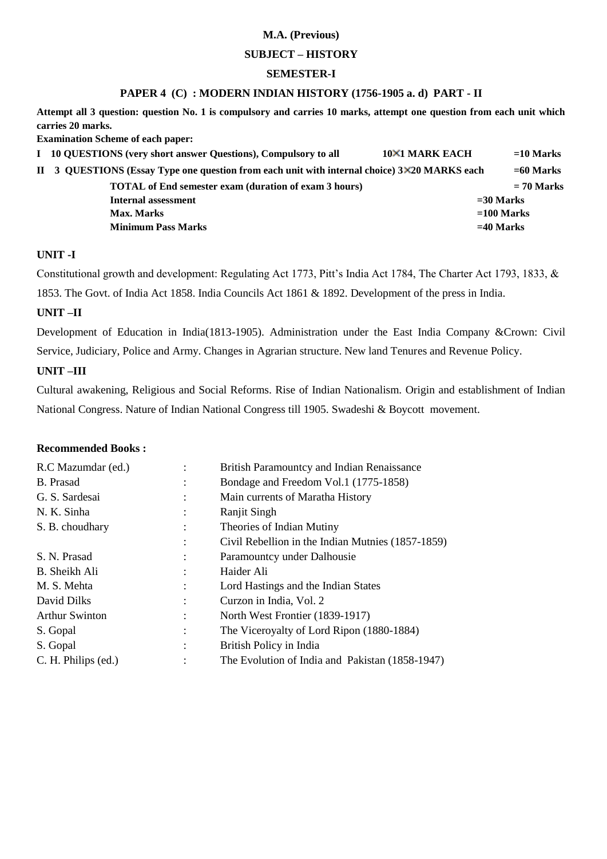#### **SUBJECT – HISTORY**

#### **SEMESTER-I**

### **PAPER 4 (C) : MODERN INDIAN HISTORY (1756-1905 a. d) PART - II**

**Attempt all 3 question: question No. 1 is compulsory and carries 10 marks, attempt one question from each unit which carries 20 marks.** 

**Examination Scheme of each paper:** 

| I 10 QUESTIONS (very short answer Questions), Compulsory to all                              | <b>10×1 MARK EACH</b> | $=$ 10 Marks |
|----------------------------------------------------------------------------------------------|-----------------------|--------------|
| II 3 QUESTIONS (Essay Type one question from each unit with internal choice) 3×20 MARKS each |                       | $= 60$ Marks |
| <b>TOTAL</b> of End semester exam (duration of exam 3 hours)                                 |                       | $= 70$ Marks |
| Internal assessment                                                                          | $=$ 30 Marks          |              |
| Max. Marks                                                                                   |                       | $=100$ Marks |
| <b>Minimum Pass Marks</b>                                                                    | $=40$ Marks           |              |

## **UNIT -I**

Constitutional growth and development: Regulating Act 1773, Pitt's India Act 1784, The Charter Act 1793, 1833, & 1853. The Govt. of India Act 1858. India Councils Act 1861 & 1892. Development of the press in India.

## **UNIT –II**

Development of Education in India(1813-1905). Administration under the East India Company &Crown: Civil Service, Judiciary, Police and Army. Changes in Agrarian structure. New land Tenures and Revenue Policy.

#### **UNIT –III**

Cultural awakening, Religious and Social Reforms. Rise of Indian Nationalism. Origin and establishment of Indian National Congress. Nature of Indian National Congress till 1905. Swadeshi & Boycott movement.

| R.C Mazumdar (ed.)    |                | British Paramountcy and Indian Renaissance        |
|-----------------------|----------------|---------------------------------------------------|
| B. Prasad             |                | Bondage and Freedom Vol.1 (1775-1858)             |
| G. S. Sardesai        |                | Main currents of Maratha History                  |
| N. K. Sinha           |                | Ranjit Singh                                      |
| S. B. choudhary       |                | Theories of Indian Mutiny                         |
|                       |                | Civil Rebellion in the Indian Mutnies (1857-1859) |
| S. N. Prasad          |                | Paramountcy under Dalhousie                       |
| B. Sheikh Ali         |                | Haider Ali                                        |
| M. S. Mehta           |                | Lord Hastings and the Indian States               |
| David Dilks           |                | Curzon in India, Vol. 2                           |
| <b>Arthur Swinton</b> |                | North West Frontier (1839-1917)                   |
| S. Gopal              |                | The Viceroyalty of Lord Ripon (1880-1884)         |
| S. Gopal              | $\ddot{\cdot}$ | British Policy in India                           |
| C. H. Philips (ed.)   | $\ddot{\cdot}$ | The Evolution of India and Pakistan (1858-1947)   |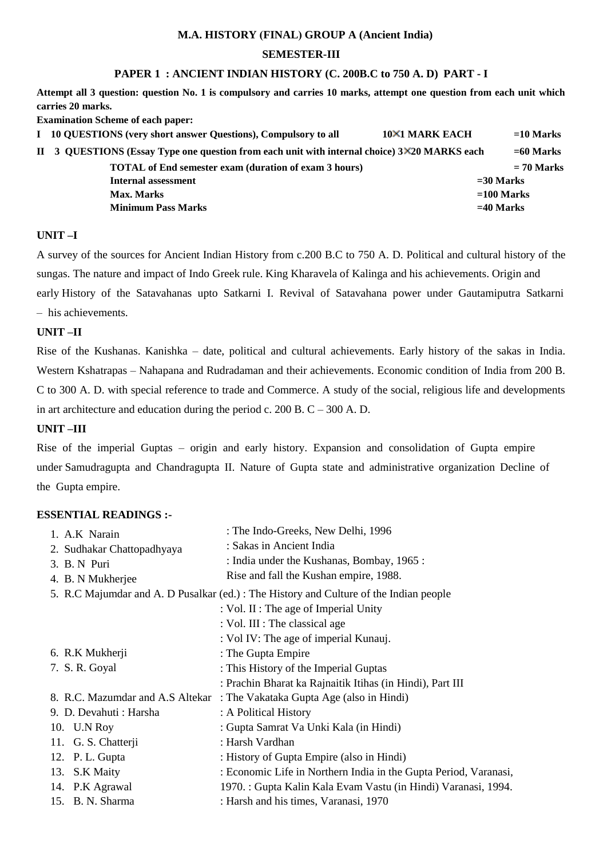## **M.A. HISTORY (FINAL) GROUP A (Ancient India)**

#### **SEMESTER-III**

## **PAPER 1 : ANCIENT INDIAN HISTORY (C. 200B.C to 750 A. D) PART - I**

**Attempt all 3 question: question No. 1 is compulsory and carries 10 marks, attempt one question from each unit which carries 20 marks.** 

**Examination Scheme of each paper:** 

| I 10 QUESTIONS (very short answer Questions), Compulsory to all                              | 10×1 MARK EACH | $=10$ Marks  |
|----------------------------------------------------------------------------------------------|----------------|--------------|
| II 3 QUESTIONS (Essay Type one question from each unit with internal choice) 3×20 MARKS each |                | $=60$ Marks  |
| <b>TOTAL</b> of End semester exam (duration of exam 3 hours)                                 |                | $= 70$ Marks |
| $=$ 30 Marks<br>Internal assessment                                                          |                |              |
| Max. Marks                                                                                   |                | $=100$ Marks |
| <b>Minimum Pass Marks</b>                                                                    |                | $=40$ Marks  |
|                                                                                              |                |              |

#### **UNIT –I**

A survey of the sources for Ancient Indian History from c.200 B.C to 750 A. D. Political and cultural history of the sungas. The nature and impact of Indo Greek rule. King Kharavela of Kalinga and his achievements. Origin and early History of the Satavahanas upto Satkarni I. Revival of Satavahana power under Gautamiputra Satkarni – his achievements.

#### **UNIT –II**

Rise of the Kushanas. Kanishka – date, political and cultural achievements. Early history of the sakas in India. Western Kshatrapas – Nahapana and Rudradaman and their achievements. Economic condition of India from 200 B. C to 300 A. D. with special reference to trade and Commerce. A study of the social, religious life and developments in art architecture and education during the period c.  $200$  B. C –  $300$  A. D.

## **UNIT –III**

Rise of the imperial Guptas – origin and early history. Expansion and consolidation of Gupta empire under Samudragupta and Chandragupta II. Nature of Gupta state and administrative organization Decline of the Gupta empire.

| 1. A.K Narain                    | : The Indo-Greeks, New Delhi, 1996                                                     |
|----------------------------------|----------------------------------------------------------------------------------------|
| 2. Sudhakar Chattopadhyaya       | : Sakas in Ancient India                                                               |
| 3. B. N Puri                     | : India under the Kushanas, Bombay, 1965 :                                             |
| 4. B. N Mukherjee                | Rise and fall the Kushan empire, 1988.                                                 |
|                                  | 5. R.C Majumdar and A. D Pusalkar (ed.) : The History and Culture of the Indian people |
|                                  | : Vol. II : The age of Imperial Unity                                                  |
|                                  | : Vol. III : The classical age                                                         |
|                                  | : Vol IV: The age of imperial Kunauj.                                                  |
| 6. R.K Mukherji                  | : The Gupta Empire                                                                     |
| 7. S. R. Goyal                   | : This History of the Imperial Guptas                                                  |
|                                  | : Prachin Bharat ka Rajnaitik Itihas (in Hindi), Part III                              |
| 8. R.C. Mazumdar and A.S Altekar | : The Vakataka Gupta Age (also in Hindi)                                               |
| 9. D. Devahuti : Harsha          | : A Political History                                                                  |
| 10. U.N Roy                      | : Gupta Samrat Va Unki Kala (in Hindi)                                                 |
| 11. G. S. Chatterji              | : Harsh Vardhan                                                                        |
| 12. P. L. Gupta                  | : History of Gupta Empire (also in Hindi)                                              |
| 13. S.K Maity                    | : Economic Life in Northern India in the Gupta Period, Varanasi,                       |
| 14. P.K Agrawal                  | 1970. : Gupta Kalin Kala Evam Vastu (in Hindi) Varanasi, 1994.                         |
| 15. B. N. Sharma                 | : Harsh and his times, Varanasi, 1970                                                  |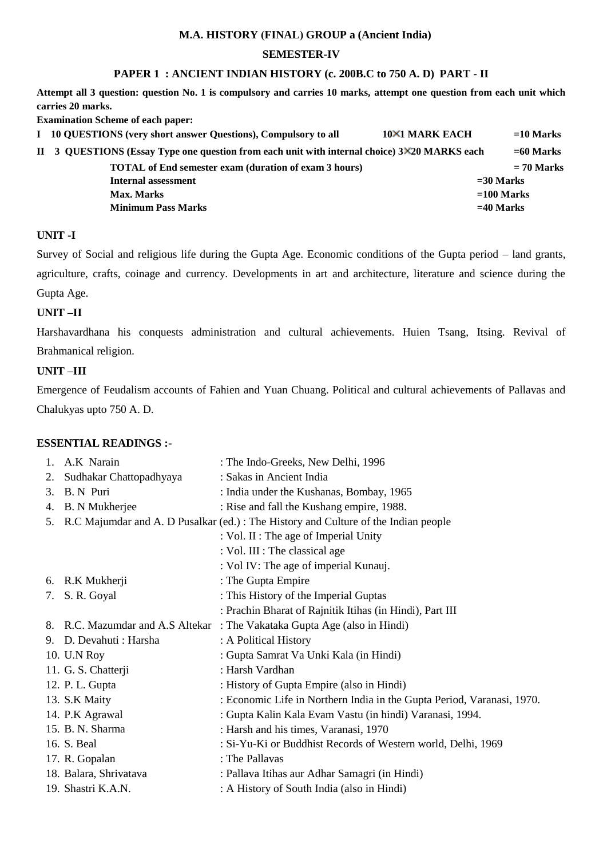## **M.A. HISTORY (FINAL) GROUP a (Ancient India)**

## **SEMESTER-IV**

## **PAPER 1 : ANCIENT INDIAN HISTORY (c. 200B.C to 750 A. D) PART - II**

**Attempt all 3 question: question No. 1 is compulsory and carries 10 marks, attempt one question from each unit which carries 20 marks.** 

**Examination Scheme of each paper:** 

| I 10 QUESTIONS (very short answer Questions), Compulsory to all                              | 10×1 MARK EACH | $=10$ Marks  |
|----------------------------------------------------------------------------------------------|----------------|--------------|
| II 3 QUESTIONS (Essay Type one question from each unit with internal choice) 3×20 MARKS each |                | $=60$ Marks  |
| <b>TOTAL</b> of End semester exam (duration of exam 3 hours)                                 |                | $= 70$ Marks |
| $=$ 30 Marks<br>Internal assessment                                                          |                |              |
| Max. Marks                                                                                   |                | $=100$ Marks |
| <b>Minimum Pass Marks</b>                                                                    |                | $=$ 40 Marks |
|                                                                                              |                |              |

## **UNIT -I**

Survey of Social and religious life during the Gupta Age. Economic conditions of the Gupta period – land grants, agriculture, crafts, coinage and currency. Developments in art and architecture, literature and science during the Gupta Age.

## **UNIT –II**

Harshavardhana his conquests administration and cultural achievements. Huien Tsang, Itsing. Revival of Brahmanical religion.

#### **UNIT –III**

Emergence of Feudalism accounts of Fahien and Yuan Chuang. Political and cultural achievements of Pallavas and Chalukyas upto 750 A. D.

| 1. | A.K Narain                    | : The Indo-Greeks, New Delhi, 1996                                                     |
|----|-------------------------------|----------------------------------------------------------------------------------------|
| 2. | Sudhakar Chattopadhyaya       | : Sakas in Ancient India                                                               |
| 3. | B. N Puri                     | : India under the Kushanas, Bombay, 1965                                               |
| 4. | <b>B.</b> N Mukherjee         | : Rise and fall the Kushang empire, 1988.                                              |
|    |                               | 5. R.C Majumdar and A. D Pusalkar (ed.) : The History and Culture of the Indian people |
|    |                               | : Vol. II : The age of Imperial Unity                                                  |
|    |                               | : Vol. III : The classical age                                                         |
|    |                               | : Vol IV: The age of imperial Kunauj.                                                  |
|    | 6. R.K Mukherji               | : The Gupta Empire                                                                     |
|    | 7. S.R. Goyal                 | : This History of the Imperial Guptas                                                  |
|    |                               | : Prachin Bharat of Rajnitik Itihas (in Hindi), Part III                               |
| 8. | R.C. Mazumdar and A.S Altekar | : The Vakataka Gupta Age (also in Hindi)                                               |
|    | 9. D. Devahuti : Harsha       | : A Political History                                                                  |
|    | 10. U.N Roy                   | : Gupta Samrat Va Unki Kala (in Hindi)                                                 |
|    | 11. G. S. Chatterji           | : Harsh Vardhan                                                                        |
|    | 12. P. L. Gupta               | : History of Gupta Empire (also in Hindi)                                              |
|    | 13. S.K Maity                 | : Economic Life in Northern India in the Gupta Period, Varanasi, 1970.                 |
|    | 14. P.K Agrawal               | : Gupta Kalin Kala Evam Vastu (in hindi) Varanasi, 1994.                               |
|    | 15. B. N. Sharma              | : Harsh and his times, Varanasi, 1970                                                  |
|    | 16. S. Beal                   | : Si-Yu-Ki or Buddhist Records of Western world, Delhi, 1969                           |
|    | 17. R. Gopalan                | : The Pallavas                                                                         |
|    | 18. Balara, Shrivatava        | : Pallava Itihas aur Adhar Samagri (in Hindi)                                          |
|    | 19. Shastri K.A.N.            | : A History of South India (also in Hindi)                                             |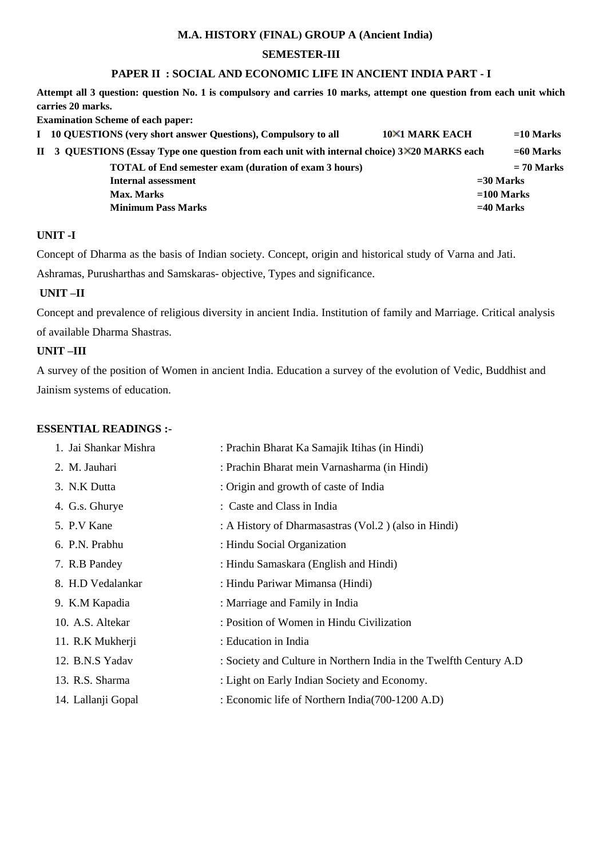## **M.A. HISTORY (FINAL) GROUP A (Ancient India)**

### **SEMESTER-III**

## **PAPER II : SOCIAL AND ECONOMIC LIFE IN ANCIENT INDIA PART - I**

**Attempt all 3 question: question No. 1 is compulsory and carries 10 marks, attempt one question from each unit which carries 20 marks.** 

**Examination Scheme of each paper:** 

| I 10 QUESTIONS (very short answer Questions), Compulsory to all                              | 10×1 MARK EACH | $=10$ Marks  |
|----------------------------------------------------------------------------------------------|----------------|--------------|
| II 3 QUESTIONS (Essay Type one question from each unit with internal choice) 3×20 MARKS each |                | $= 60$ Marks |
| <b>TOTAL of End semester exam (duration of exam 3 hours)</b>                                 |                | $= 70$ Marks |
| Internal assessment                                                                          |                | $=$ 30 Marks |
| Max. Marks                                                                                   |                | $=100$ Marks |
| <b>Minimum Pass Marks</b>                                                                    |                | $=40$ Marks  |
|                                                                                              |                |              |

## **UNIT -I**

Concept of Dharma as the basis of Indian society. Concept, origin and historical study of Varna and Jati.

Ashramas, Purusharthas and Samskaras- objective, Types and significance.

### **UNIT –II**

Concept and prevalence of religious diversity in ancient India. Institution of family and Marriage. Critical analysis of available Dharma Shastras.

## **UNIT –III**

A survey of the position of Women in ancient India. Education a survey of the evolution of Vedic, Buddhist and Jainism systems of education.

| 1. Jai Shankar Mishra | : Prachin Bharat Ka Samajik Itihas (in Hindi)                      |
|-----------------------|--------------------------------------------------------------------|
| 2. M. Jauhari         | : Prachin Bharat mein Varnasharma (in Hindi)                       |
| 3. N.K Dutta          | : Origin and growth of caste of India                              |
| 4. G.s. Ghurye        | : Caste and Class in India                                         |
| 5. P.V Kane           | : A History of Dharmasastras (Vol.2) (also in Hindi)               |
| 6. P.N. Prabhu        | : Hindu Social Organization                                        |
| 7. R.B Pandey         | : Hindu Samaskara (English and Hindi)                              |
| 8. H.D Vedalankar     | : Hindu Pariwar Mimansa (Hindi)                                    |
| 9. K.M Kapadia        | : Marriage and Family in India                                     |
| 10. A.S. Altekar      | : Position of Women in Hindu Civilization                          |
| 11. R.K Mukherji      | : Education in India                                               |
| 12. B.N.S Yadav       | : Society and Culture in Northern India in the Twelfth Century A.D |
| 13. R.S. Sharma       | : Light on Early Indian Society and Economy.                       |
| 14. Lallanji Gopal    | : Economic life of Northern India(700-1200 A.D)                    |
|                       |                                                                    |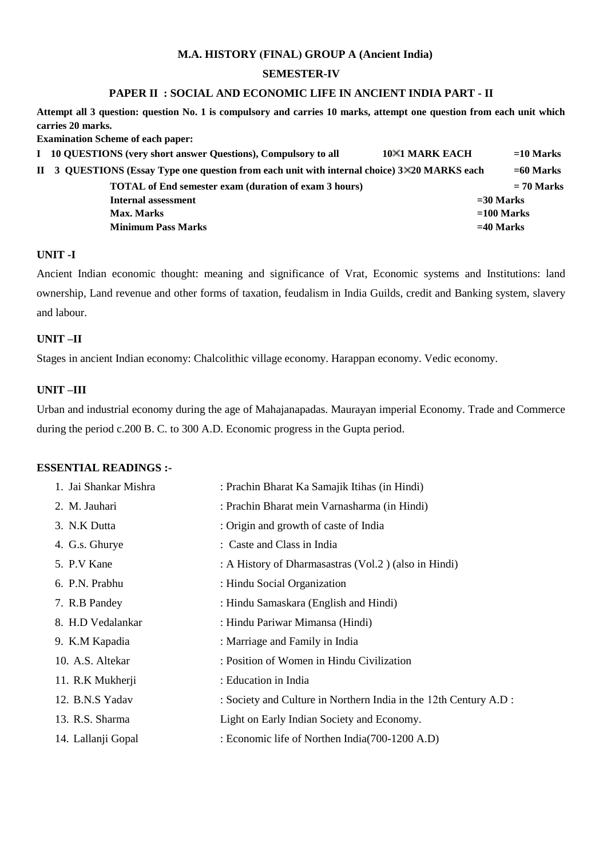#### **M.A. HISTORY (FINAL) GROUP A (Ancient India)**

## **SEMESTER-IV**

## **PAPER II : SOCIAL AND ECONOMIC LIFE IN ANCIENT INDIA PART - II**

**Attempt all 3 question: question No. 1 is compulsory and carries 10 marks, attempt one question from each unit which carries 20 marks.** 

**Examination Scheme of each paper:** 

| I 10 QUESTIONS (very short answer Questions), Compulsory to all                              | <b>10×1 MARK EACH</b> | $=$ 10 Marks |
|----------------------------------------------------------------------------------------------|-----------------------|--------------|
| II 3 QUESTIONS (Essay Type one question from each unit with internal choice) 3×20 MARKS each |                       | $= 60$ Marks |
| <b>TOTAL</b> of End semester exam (duration of exam 3 hours)                                 |                       | $= 70$ Marks |
| Internal assessment                                                                          |                       | $=$ 30 Marks |
| Max. Marks                                                                                   |                       | $=100$ Marks |
| <b>Minimum Pass Marks</b>                                                                    |                       | $=40$ Marks  |

## **UNIT -I**

Ancient Indian economic thought: meaning and significance of Vrat, Economic systems and Institutions: land ownership, Land revenue and other forms of taxation, feudalism in India Guilds, credit and Banking system, slavery and labour.

#### **UNIT –II**

Stages in ancient Indian economy: Chalcolithic village economy. Harappan economy. Vedic economy.

#### **UNIT –III**

Urban and industrial economy during the age of Mahajanapadas. Maurayan imperial Economy. Trade and Commerce during the period c.200 B. C. to 300 A.D. Economic progress in the Gupta period.

| 1. Jai Shankar Mishra | : Prachin Bharat Ka Samajik Itihas (in Hindi)                     |
|-----------------------|-------------------------------------------------------------------|
| 2. M. Jauhari         | : Prachin Bharat mein Varnasharma (in Hindi)                      |
| 3. N.K Dutta          | : Origin and growth of caste of India                             |
| 4. G.s. Ghurye        | : Caste and Class in India                                        |
| 5. P.V Kane           | : A History of Dharmasastras (Vol.2) (also in Hindi)              |
| 6. P.N. Prabhu        | : Hindu Social Organization                                       |
| 7. R.B Pandey         | : Hindu Samaskara (English and Hindi)                             |
| 8. H.D Vedalankar     | : Hindu Pariwar Mimansa (Hindi)                                   |
| 9. K.M Kapadia        | : Marriage and Family in India                                    |
| 10. A.S. Altekar      | : Position of Women in Hindu Civilization                         |
| 11. R.K Mukherji      | : Education in India                                              |
| 12. B.N.S Yadav       | : Society and Culture in Northern India in the 12th Century A.D : |
| 13. R.S. Sharma       | Light on Early Indian Society and Economy.                        |
| 14. Lallanji Gopal    | : Economic life of Northen India (700-1200 A.D)                   |
|                       |                                                                   |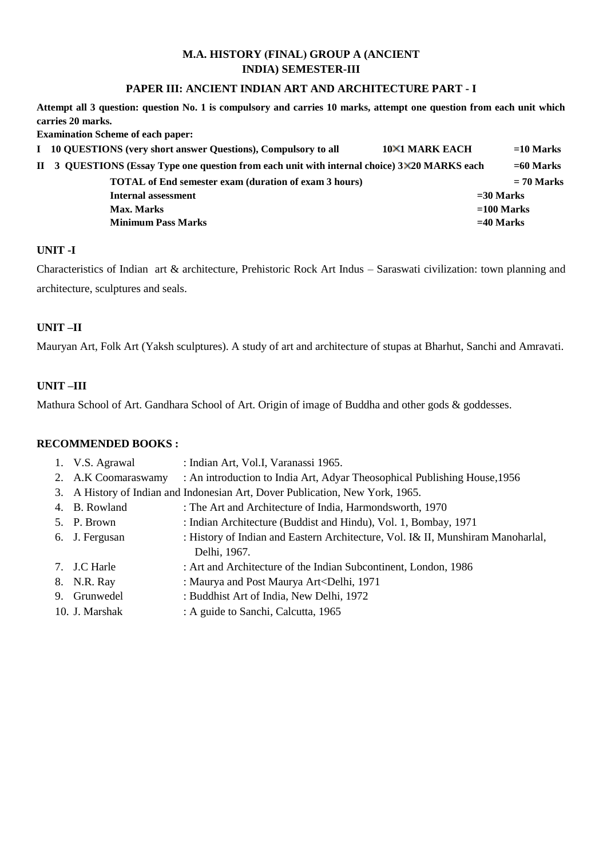## **M.A. HISTORY (FINAL) GROUP A (ANCIENT INDIA) SEMESTER-III**

## **PAPER III: ANCIENT INDIAN ART AND ARCHITECTURE PART - I**

**Attempt all 3 question: question No. 1 is compulsory and carries 10 marks, attempt one question from each unit which carries 20 marks.** 

**Examination Scheme of each paper:** 

| I 10 QUESTIONS (very short answer Questions), Compulsory to all                              | 10×1 MARK EACH | $=10$ Marks  |
|----------------------------------------------------------------------------------------------|----------------|--------------|
| II 3 QUESTIONS (Essay Type one question from each unit with internal choice) 3×20 MARKS each |                | $=60$ Marks  |
| <b>TOTAL</b> of End semester exam (duration of exam 3 hours)                                 |                | $= 70$ Marks |
| Internal assessment                                                                          |                | $=$ 30 Marks |
| Max. Marks                                                                                   |                | $=100$ Marks |
| <b>Minimum Pass Marks</b>                                                                    |                | $=40$ Marks  |
|                                                                                              |                |              |

## **UNIT -I**

Characteristics of Indian art & architecture, Prehistoric Rock Art Indus – Saraswati civilization: town planning and architecture, sculptures and seals.

## **UNIT –II**

Mauryan Art, Folk Art (Yaksh sculptures). A study of art and architecture of stupas at Bharhut, Sanchi and Amravati.

## **UNIT –III**

Mathura School of Art. Gandhara School of Art. Origin of image of Buddha and other gods & goddesses.

## **RECOMMENDED BOOKS :**

| 1. V.S. Agrawal     | : Indian Art, Vol.I, Varanassi 1965.                                                            |
|---------------------|-------------------------------------------------------------------------------------------------|
| 2. A.K Coomaraswamy | : An introduction to India Art, Adyar Theosophical Publishing House, 1956                       |
|                     | 3. A History of Indian and Indonesian Art, Dover Publication, New York, 1965.                   |
| 4. B. Rowland       | : The Art and Architecture of India, Harmondsworth, 1970                                        |
| 5. P. Brown         | : Indian Architecture (Buddist and Hindu), Vol. 1, Bombay, 1971                                 |
| 6. J. Fergusan      | : History of Indian and Eastern Architecture, Vol. I& II, Munshiram Manoharlal,<br>Delhi, 1967. |
| 7. J.C Harle        | : Art and Architecture of the Indian Subcontinent, London, 1986                                 |
| 8. N.R. Ray         | : Maurya and Post Maurya Art <delhi, 1971<="" td=""></delhi,>                                   |
| 9. Grunwedel        | : Buddhist Art of India, New Delhi, 1972                                                        |
| 10. J. Marshak      | : A guide to Sanchi, Calcutta, 1965                                                             |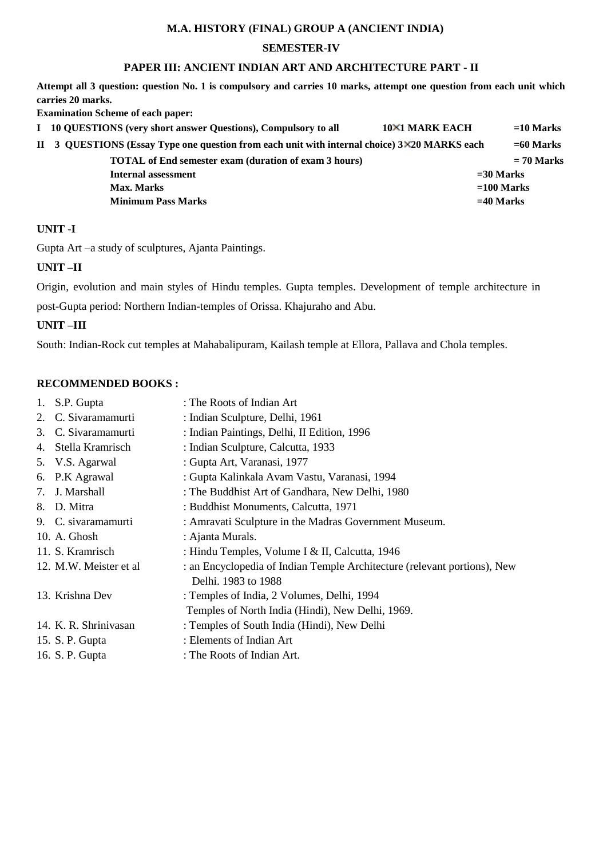## **M.A. HISTORY (FINAL) GROUP A (ANCIENT INDIA)**

## **SEMESTER-IV**

## **PAPER III: ANCIENT INDIAN ART AND ARCHITECTURE PART - II**

**Attempt all 3 question: question No. 1 is compulsory and carries 10 marks, attempt one question from each unit which carries 20 marks.** 

**Examination Scheme of each paper:** 

| I 10 QUESTIONS (very short answer Questions), Compulsory to all                              | 10×1 MARK EACH | $=10$ Marks  |
|----------------------------------------------------------------------------------------------|----------------|--------------|
| II 3 QUESTIONS (Essay Type one question from each unit with internal choice) 3×20 MARKS each |                | $=60$ Marks  |
| <b>TOTAL</b> of End semester exam (duration of exam 3 hours)                                 |                | $= 70$ Marks |
| Internal assessment                                                                          |                | $=$ 30 Marks |
| <b>Max. Marks</b>                                                                            |                | $=100$ Marks |
| <b>Minimum Pass Marks</b>                                                                    |                | $=40$ Marks  |
|                                                                                              |                |              |

## **UNIT -I**

Gupta Art –a study of sculptures, Ajanta Paintings.

## **UNIT –II**

Origin, evolution and main styles of Hindu temples. Gupta temples. Development of temple architecture in post-Gupta period: Northern Indian-temples of Orissa. Khajuraho and Abu.

## **UNIT –III**

South: Indian-Rock cut temples at Mahabalipuram, Kailash temple at Ellora, Pallava and Chola temples.

#### **RECOMMENDED BOOKS :**

| 1. | S.P. Gupta              | : The Roots of Indian Art                                                                       |
|----|-------------------------|-------------------------------------------------------------------------------------------------|
|    | 2. C. Sivaramamurti     | : Indian Sculpture, Delhi, 1961                                                                 |
| 3. | C. Sivaramamurti        | : Indian Paintings, Delhi, II Edition, 1996                                                     |
| 4. | Stella Kramrisch        | : Indian Sculpture, Calcutta, 1933                                                              |
|    | 5. V.S. Agarwal         | : Gupta Art, Varanasi, 1977                                                                     |
|    | 6. P.K Agrawal          | : Gupta Kalinkala Avam Vastu, Varanasi, 1994                                                    |
|    | 7. J. Marshall          | : The Buddhist Art of Gandhara, New Delhi, 1980                                                 |
| 8. | D. Mitra                | : Buddhist Monuments, Calcutta, 1971                                                            |
|    | 9. C. sivaramamurti     | : Amravati Sculpture in the Madras Government Museum.                                           |
|    | 10. A. Ghosh            | : Ajanta Murals.                                                                                |
|    | 11. S. Kramrisch        | : Hindu Temples, Volume I & II, Calcutta, 1946                                                  |
|    | 12. M.W. Meister et al. | : an Encyclopedia of Indian Temple Architecture (relevant portions), New<br>Delhi. 1983 to 1988 |
|    | 13. Krishna Dev         | : Temples of India, 2 Volumes, Delhi, 1994                                                      |
|    |                         | Temples of North India (Hindi), New Delhi, 1969.                                                |
|    | 14. K. R. Shrinivasan   | : Temples of South India (Hindi), New Delhi                                                     |
|    | 15. S. P. Gupta         | : Elements of Indian Art                                                                        |
|    | 16. S. P. Gupta         | : The Roots of Indian Art.                                                                      |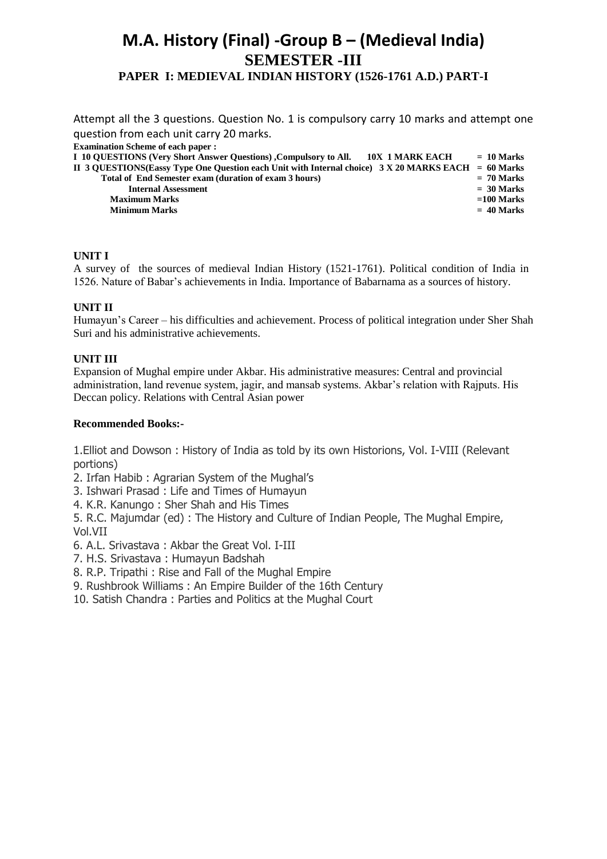## **M.A. History (Final) -Group B – (Medieval India) SEMESTER -III PAPER I: MEDIEVAL INDIAN HISTORY (1526-1761 A.D.) PART-I**

Attempt all the 3 questions. Question No. 1 is compulsory carry 10 marks and attempt one question from each unit carry 20 marks.

**Examination Scheme of each paper :** 

| I 10 QUESTIONS (Very Short Answer Questions), Compulsory to All.<br>- 10X-1 MARK EACH                 | $= 10$ Marks |
|-------------------------------------------------------------------------------------------------------|--------------|
| II 3 QUESTIONS(Eassy Type One Question each Unit with Internal choice) $3 X 20$ MARKS EACH = 60 Marks |              |
| Total of End Semester exam (duration of exam 3 hours)                                                 | $= 70$ Marks |
| <b>Internal Assessment</b>                                                                            | $=$ 30 Marks |
| <b>Maximum Marks</b>                                                                                  | $=100$ Marks |
| <b>Minimum Marks</b>                                                                                  | $= 40$ Marks |
|                                                                                                       |              |

## **UNIT I**

A survey of the sources of medieval Indian History (1521-1761). Political condition of India in 1526. Nature of Babar's achievements in India. Importance of Babarnama as a sources of history.

## **UNIT II**

Humayun's Career – his difficulties and achievement. Process of political integration under Sher Shah Suri and his administrative achievements.

## **UNIT III**

Expansion of Mughal empire under Akbar. His administrative measures: Central and provincial administration, land revenue system, jagir, and mansab systems. Akbar's relation with Rajputs. His Deccan policy. Relations with Central Asian power

## **Recommended Books:-**

1.Elliot and Dowson : History of India as told by its own Historions, Vol. I-VIII (Relevant portions)

2. Irfan Habib : Agrarian System of the Mughal's

- 3. Ishwari Prasad : Life and Times of Humayun
- 4. K.R. Kanungo : Sher Shah and His Times

5. R.C. Majumdar (ed) : The History and Culture of Indian People, The Mughal Empire, Vol.VII

- 6. A.L. Srivastava : Akbar the Great Vol. I-III
- 7. H.S. Srivastava : Humayun Badshah
- 8. R.P. Tripathi : Rise and Fall of the Mughal Empire
- 9. Rushbrook Williams : An Empire Builder of the 16th Century
- 10. Satish Chandra : Parties and Politics at the Mughal Court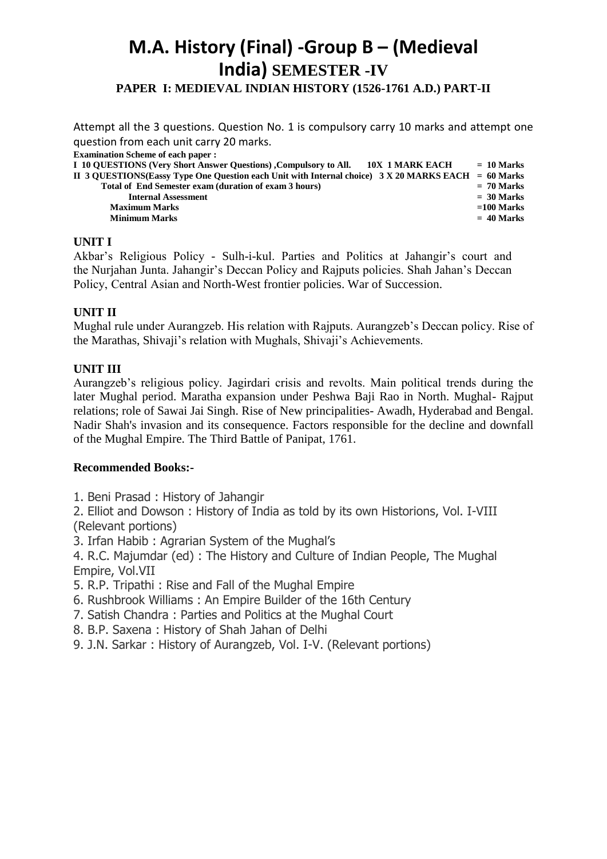## **M.A. History (Final) -Group B – (Medieval India) SEMESTER -IV PAPER I: MEDIEVAL INDIAN HISTORY (1526-1761 A.D.) PART-II**

Attempt all the 3 questions. Question No. 1 is compulsory carry 10 marks and attempt one question from each unit carry 20 marks. **Examination Scheme of each paper : I 10 QUESTIONS (Very Short Answer Questions) , Compulsory to All. <br>
10X 1 MARK EACH = 10 Marks** 

| II 3 OUESTIONS(Eassy Type One Question each Unit with Internal choice) $3 X 20$ MARKS EACH = 60 Marks |              |
|-------------------------------------------------------------------------------------------------------|--------------|
| Total of End Semester exam (duration of exam 3 hours)                                                 | $= 70$ Marks |
| <b>Internal Assessment</b>                                                                            | $=$ 30 Marks |
| <b>Maximum Marks</b>                                                                                  | $=100$ Marks |
| Minimum Marks                                                                                         | $= 40$ Marks |

## **UNIT I**

Akbar's Religious Policy - Sulh-i-kul. Parties and Politics at Jahangir's court and the Nurjahan Junta. Jahangir's Deccan Policy and Rajputs policies. Shah Jahan's Deccan Policy, Central Asian and North-West frontier policies. War of Succession.

## **UNIT II**

Mughal rule under Aurangzeb. His relation with Rajputs. Aurangzeb's Deccan policy. Rise of the Marathas, Shivaji's relation with Mughals, Shivaji's Achievements.

## **UNIT III**

Aurangzeb's religious policy. Jagirdari crisis and revolts. Main political trends during the later Mughal period. Maratha expansion under Peshwa Baji Rao in North. Mughal- Rajput relations; role of Sawai Jai Singh. Rise of New principalities- Awadh, Hyderabad and Bengal. Nadir Shah's invasion and its consequence. Factors responsible for the decline and downfall of the Mughal Empire. The Third Battle of Panipat, 1761.

## **Recommended Books:-**

1. Beni Prasad : History of Jahangir

2. Elliot and Dowson : History of India as told by its own Historions, Vol. I-VIII (Relevant portions)

3. Irfan Habib : Agrarian System of the Mughal's

4. R.C. Majumdar (ed) : The History and Culture of Indian People, The Mughal Empire, Vol.VII

- 5. R.P. Tripathi : Rise and Fall of the Mughal Empire
- 6. Rushbrook Williams : An Empire Builder of the 16th Century
- 7. Satish Chandra : Parties and Politics at the Mughal Court
- 8. B.P. Saxena : History of Shah Jahan of Delhi
- 9. J.N. Sarkar : History of Aurangzeb, Vol. I-V. (Relevant portions)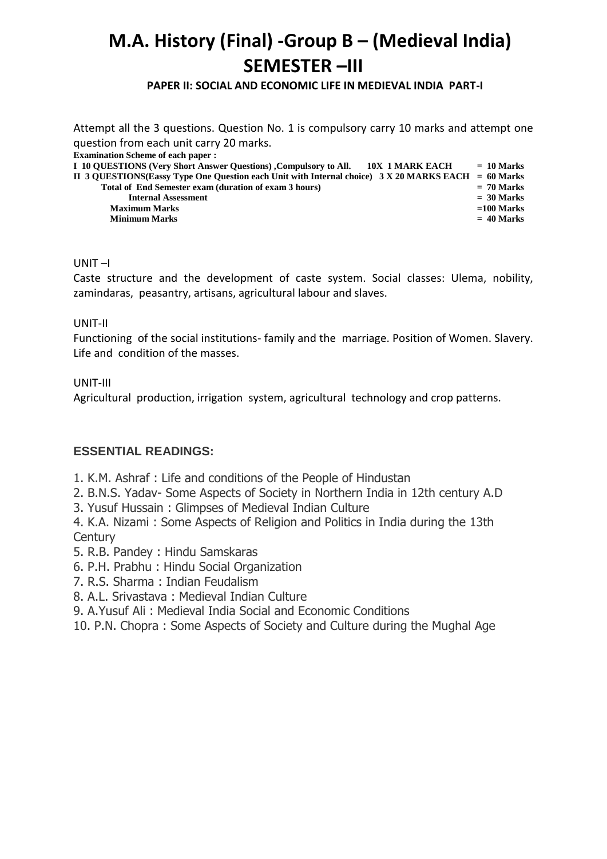# **M.A. History (Final) -Group B – (Medieval India) SEMESTER –III**

## **PAPER II: SOCIAL AND ECONOMIC LIFE IN MEDIEVAL INDIA PART-I**

Attempt all the 3 questions. Question No. 1 is compulsory carry 10 marks and attempt one question from each unit carry 20 marks. **Examination Scheme of each paper : I 10 QUESTIONS (Very Short Answer Questions) ,Compulsory to All. 10X 1 MARK EACH = 10 Marks II 3 QUESTIONS(Eassy Type One Question each Unit with Internal choice) 3 X 20 MARKS EACH = 60 Marks Total of End Semester exam (duration of exam 3 hours)** *Exergista Internal Assessment*  $=$  30 Marks *n* **Maximum Marks =100 Marks Minimum Marks = 40 Marks**

## UNIT –I

Caste structure and the development of caste system. Social classes: Ulema, nobility, zamindaras, peasantry, artisans, agricultural labour and slaves.

## UNIT-II

Functioning of the social institutions- family and the marriage. Position of Women. Slavery. Life and condition of the masses.

## UNIT-III

Agricultural production, irrigation system, agricultural technology and crop patterns.

## **ESSENTIAL READINGS:**

- 1. K.M. Ashraf : Life and conditions of the People of Hindustan
- 2. B.N.S. Yadav- Some Aspects of Society in Northern India in 12th century A.D
- 3. Yusuf Hussain : Glimpses of Medieval Indian Culture

4. K.A. Nizami : Some Aspects of Religion and Politics in India during the 13th **Century** 

- 5. R.B. Pandey : Hindu Samskaras
- 6. P.H. Prabhu : Hindu Social Organization
- 7. R.S. Sharma : Indian Feudalism
- 8. A.L. Srivastava : Medieval Indian Culture
- 9. A.Yusuf Ali : Medieval India Social and Economic Conditions
- 10. P.N. Chopra : Some Aspects of Society and Culture during the Mughal Age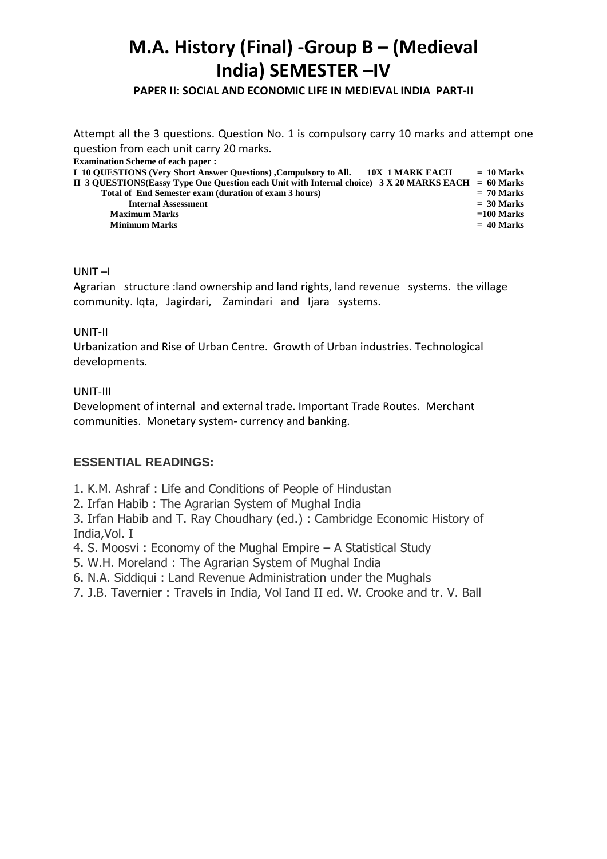# **M.A. History (Final) -Group B – (Medieval India) SEMESTER –IV**

**PAPER II: SOCIAL AND ECONOMIC LIFE IN MEDIEVAL INDIA PART-II**

Attempt all the 3 questions. Question No. 1 is compulsory carry 10 marks and attempt one question from each unit carry 20 marks. **Examination Scheme of each paper : I 10 QUESTIONS (Very Short Answer Questions) ,Compulsory to All. 10X 1 MARK EACH = 10 Marks II 3 QUESTIONS(Eassy Type One Question each Unit with Internal choice) 3 X 20 MARKS EACH = 60 Marks Total of End Semester exam (duration of exam 3 hours) = 70 Marks Internal Assessment**  $=$  30 Marks **Maximum Marks =100 Marks Minimum Marks**  $= 40$  Marks

## UNIT –I

Agrarian structure :land ownership and land rights, land revenue systems. the village community. Iqta, Jagirdari, Zamindari and Ijara systems.

## UNIT-II

Urbanization and Rise of Urban Centre. Growth of Urban industries. Technological developments.

## UNIT-III

Development of internal and external trade. Important Trade Routes. Merchant communities. Monetary system- currency and banking.

## **ESSENTIAL READINGS:**

1. K.M. Ashraf : Life and Conditions of People of Hindustan

2. Irfan Habib : The Agrarian System of Mughal India

3. Irfan Habib and T. Ray Choudhary (ed.) : Cambridge Economic History of India,Vol. I

4. S. Moosvi : Economy of the Mughal Empire – A Statistical Study

5. W.H. Moreland : The Agrarian System of Mughal India

6. N.A. Siddiqui : Land Revenue Administration under the Mughals

7. J.B. Tavernier : Travels in India, Vol Iand II ed. W. Crooke and tr. V. Ball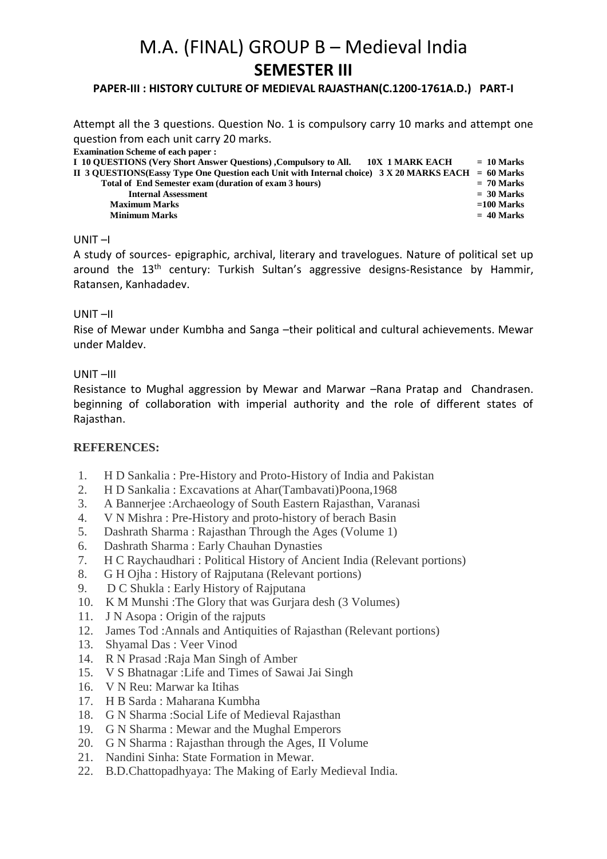# M.A. (FINAL) GROUP B – Medieval India **SEMESTER III**

## **PAPER-III : HISTORY CULTURE OF MEDIEVAL RAJASTHAN(C.1200-1761A.D.) PART-I**

Attempt all the 3 questions. Question No. 1 is compulsory carry 10 marks and attempt one question from each unit carry 20 marks.

| <b>Examination Scheme of each paper :</b>                                                             |              |
|-------------------------------------------------------------------------------------------------------|--------------|
| I 10 QUESTIONS (Very Short Answer Questions) , Compulsory to All.<br>10X 1 MARK EACH                  | $= 10$ Marks |
| II 3 QUESTIONS(Eassy Type One Question each Unit with Internal choice) $3 X 20$ MARKS EACH = 60 Marks |              |
| Total of End Semester exam (duration of exam 3 hours)                                                 | $= 70$ Marks |
| <b>Internal Assessment</b>                                                                            | $=$ 30 Marks |
| <b>Maximum Marks</b>                                                                                  | $=100$ Marks |
| <b>Minimum Marks</b>                                                                                  | $= 40$ Marks |

## UNIT –I

A study of sources- epigraphic, archival, literary and travelogues. Nature of political set up around the 13<sup>th</sup> century: Turkish Sultan's aggressive designs-Resistance by Hammir, Ratansen, Kanhadadev.

## UNIT –II

Rise of Mewar under Kumbha and Sanga –their political and cultural achievements. Mewar under Maldev.

## UNIT –III

Resistance to Mughal aggression by Mewar and Marwar –Rana Pratap and Chandrasen. beginning of collaboration with imperial authority and the role of different states of Rajasthan.

## **REFERENCES:**

- 1. H D Sankalia : Pre-History and Proto-History of India and Pakistan
- 2. H D Sankalia : Excavations at Ahar(Tambavati)Poona,1968
- 3. A Bannerjee :Archaeology of South Eastern Rajasthan, Varanasi
- 4. V N Mishra : Pre-History and proto-history of berach Basin
- 5. Dashrath Sharma : Rajasthan Through the Ages (Volume 1)
- 6. Dashrath Sharma : Early Chauhan Dynasties
- 7. H C Raychaudhari : Political History of Ancient India (Relevant portions)
- 8. G H Ojha : History of Rajputana (Relevant portions)
- 9. D C Shukla : Early History of Rajputana
- 10. K M Munshi :The Glory that was Gurjara desh (3 Volumes)
- 11. J N Asopa : Origin of the rajputs
- 12. James Tod :Annals and Antiquities of Rajasthan (Relevant portions)
- 13. Shyamal Das : Veer Vinod
- 14. R N Prasad :Raja Man Singh of Amber
- 15. V S Bhatnagar :Life and Times of Sawai Jai Singh
- 16. V N Reu: Marwar ka Itihas
- 17. H B Sarda : Maharana Kumbha
- 18. G N Sharma :Social Life of Medieval Rajasthan
- 19. G N Sharma : Mewar and the Mughal Emperors
- 20. G N Sharma : Rajasthan through the Ages, II Volume
- 21. Nandini Sinha: State Formation in Mewar.
- 22. B.D.Chattopadhyaya: The Making of Early Medieval India.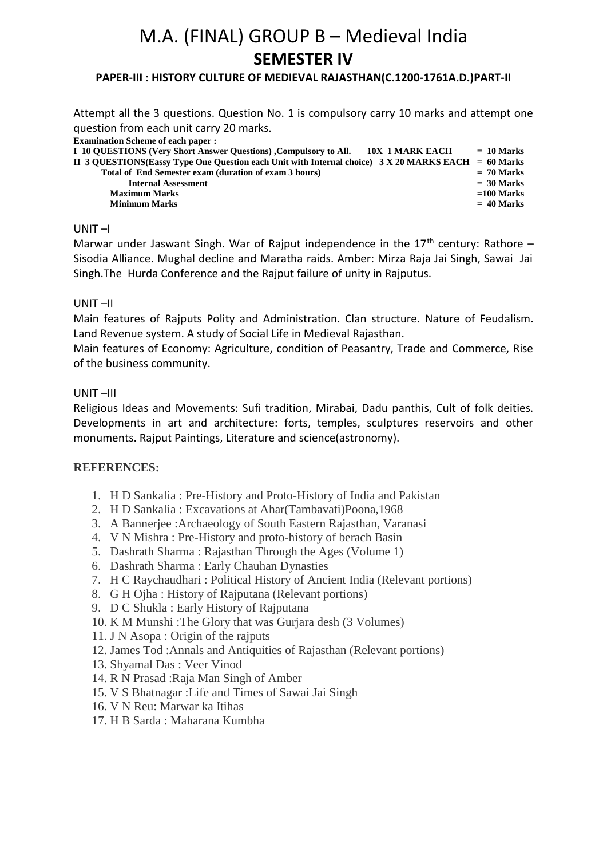# M.A. (FINAL) GROUP B – Medieval India **SEMESTER IV**

## **PAPER-III : HISTORY CULTURE OF MEDIEVAL RAJASTHAN(C.1200-1761A.D.)PART-II**

Attempt all the 3 questions. Question No. 1 is compulsory carry 10 marks and attempt one question from each unit carry 20 marks.

| <b>Examination Scheme of each paper :</b>                                                             |              |
|-------------------------------------------------------------------------------------------------------|--------------|
| I 10 QUESTIONS (Very Short Answer Questions), Compulsory to All. 10X 1 MARK EACH                      | $= 10$ Marks |
| II 3 QUESTIONS(Eassy Type One Question each Unit with Internal choice) $3 X 20$ MARKS EACH = 60 Marks |              |
| Total of End Semester exam (duration of exam 3 hours)                                                 | $= 70$ Marks |
| <b>Internal Assessment</b>                                                                            | $=$ 30 Marks |
| <b>Maximum Marks</b>                                                                                  | $=100$ Marks |
| <b>Minimum Marks</b>                                                                                  | $= 40$ Marks |
|                                                                                                       |              |

## UNIT –I

Marwar under Jaswant Singh. War of Rajput independence in the  $17<sup>th</sup>$  century: Rathore – Sisodia Alliance. Mughal decline and Maratha raids. Amber: Mirza Raja Jai Singh, Sawai Jai Singh.The Hurda Conference and the Rajput failure of unity in Rajputus.

## UNIT –II

Main features of Rajputs Polity and Administration. Clan structure. Nature of Feudalism. Land Revenue system. A study of Social Life in Medieval Rajasthan.

Main features of Economy: Agriculture, condition of Peasantry, Trade and Commerce, Rise of the business community.

## UNIT –III

Religious Ideas and Movements: Sufi tradition, Mirabai, Dadu panthis, Cult of folk deities. Developments in art and architecture: forts, temples, sculptures reservoirs and other monuments. Rajput Paintings, Literature and science(astronomy).

## **REFERENCES:**

- 1. H D Sankalia : Pre-History and Proto-History of India and Pakistan
- 2. H D Sankalia : Excavations at Ahar(Tambavati)Poona,1968
- 3. A Bannerjee :Archaeology of South Eastern Rajasthan, Varanasi
- 4. V N Mishra : Pre-History and proto-history of berach Basin
- 5. Dashrath Sharma : Rajasthan Through the Ages (Volume 1)
- 6. Dashrath Sharma : Early Chauhan Dynasties
- 7. H C Raychaudhari : Political History of Ancient India (Relevant portions)
- 8. G H Ojha : History of Rajputana (Relevant portions)
- 9. D C Shukla : Early History of Rajputana
- 10. K M Munshi :The Glory that was Gurjara desh (3 Volumes)
- 11. J N Asopa : Origin of the rajputs
- 12. James Tod :Annals and Antiquities of Rajasthan (Relevant portions)
- 13. Shyamal Das : Veer Vinod
- 14. R N Prasad :Raja Man Singh of Amber
- 15. V S Bhatnagar :Life and Times of Sawai Jai Singh
- 16. V N Reu: Marwar ka Itihas
- 17. H B Sarda : Maharana Kumbha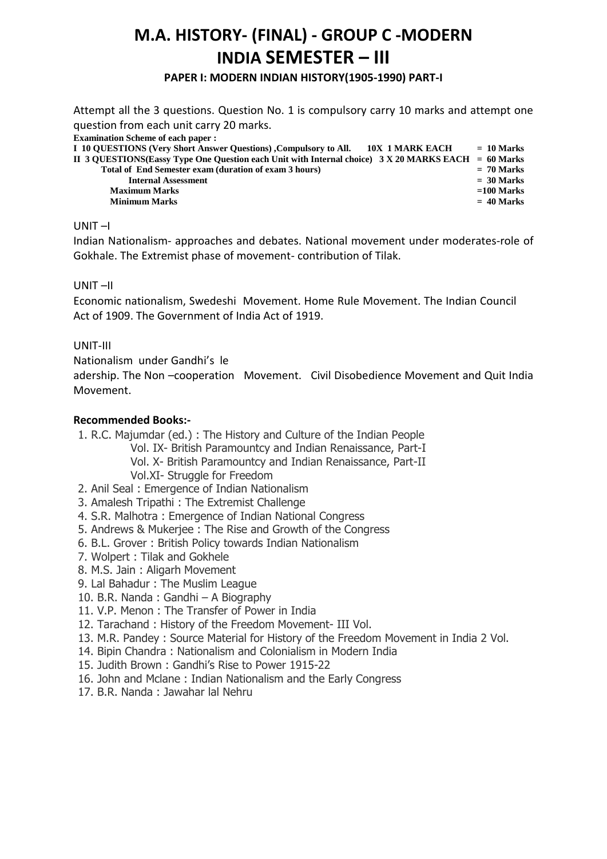## **M.A. HISTORY- (FINAL) - GROUP C -MODERN INDIA SEMESTER – III**

**PAPER I: MODERN INDIAN HISTORY(1905-1990) PART-I** 

Attempt all the 3 questions. Question No. 1 is compulsory carry 10 marks and attempt one question from each unit carry 20 marks.

| <b>Examination Scheme of each paper :</b>                                                             |              |
|-------------------------------------------------------------------------------------------------------|--------------|
| I 10 QUESTIONS (Very Short Answer Questions) Compulsory to All. 10X 1 MARK EACH                       | $= 10$ Marks |
| II 3 QUESTIONS(Eassy Type One Question each Unit with Internal choice) $3 X 20$ MARKS EACH = 60 Marks |              |
| Total of End Semester exam (duration of exam 3 hours)                                                 | $= 70$ Marks |
| <b>Internal Assessment</b>                                                                            | $=$ 30 Marks |
| <b>Maximum Marks</b>                                                                                  | $=100$ Marks |
| <b>Minimum Marks</b>                                                                                  | $= 40$ Marks |
|                                                                                                       |              |

## UNIT –I

Indian Nationalism- approaches and debates. National movement under moderates-role of Gokhale. The Extremist phase of movement- contribution of Tilak.

## UNIT –II

Economic nationalism, Swedeshi Movement. Home Rule Movement. The Indian Council Act of 1909. The Government of India Act of 1919.

## UNIT-III

Nationalism under Gandhi's le

adership. The Non –cooperation Movement. Civil Disobedience Movement and Quit India Movement.

- 1. R.C. Majumdar (ed.) : The History and Culture of the Indian People Vol. IX- British Paramountcy and Indian Renaissance, Part-I Vol. X- British Paramountcy and Indian Renaissance, Part-II Vol.XI- Struggle for Freedom
- 2. Anil Seal : Emergence of Indian Nationalism
- 3. Amalesh Tripathi : The Extremist Challenge
- 4. S.R. Malhotra : Emergence of Indian National Congress
- 5. Andrews & Mukerjee : The Rise and Growth of the Congress
- 6. B.L. Grover : British Policy towards Indian Nationalism
- 7. Wolpert : Tilak and Gokhele
- 8. M.S. Jain : Aligarh Movement
- 9. Lal Bahadur : The Muslim League
- 10. B.R. Nanda : Gandhi A Biography
- 11. V.P. Menon : The Transfer of Power in India
- 12. Tarachand : History of the Freedom Movement- III Vol.
- 13. M.R. Pandey : Source Material for History of the Freedom Movement in India 2 Vol.
- 14. Bipin Chandra : Nationalism and Colonialism in Modern India
- 15. Judith Brown : Gandhi's Rise to Power 1915-22
- 16. John and Mclane : Indian Nationalism and the Early Congress
- 17. B.R. Nanda : Jawahar lal Nehru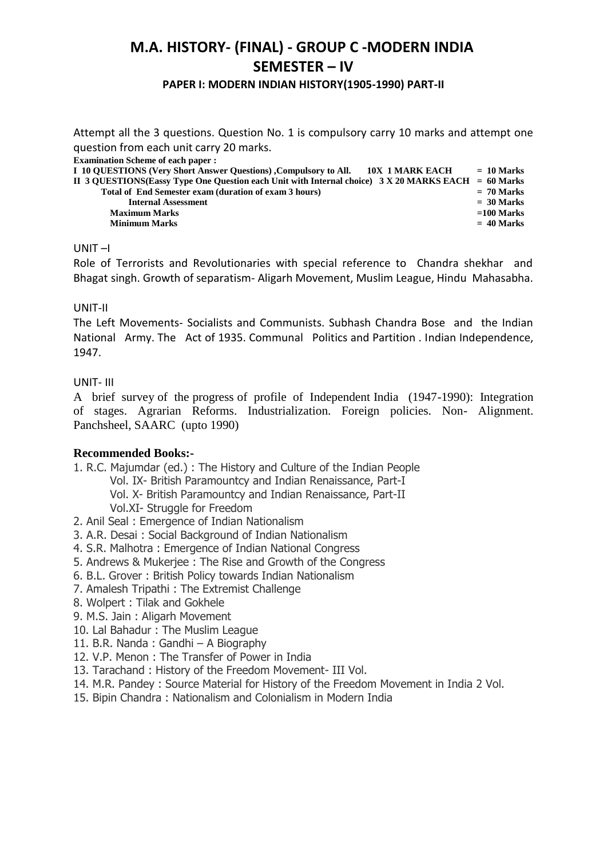## **M.A. HISTORY- (FINAL) - GROUP C -MODERN INDIA SEMESTER – IV**

## **PAPER I: MODERN INDIAN HISTORY(1905-1990) PART-II**

Attempt all the 3 questions. Question No. 1 is compulsory carry 10 marks and attempt one question from each unit carry 20 marks.

**Examination Scheme of each paper :** 

| I 10 OUESTIONS (Very Short Answer Questions) , Compulsory to All.<br>10X 1 MARK EACH                  | $= 10$ Marks |
|-------------------------------------------------------------------------------------------------------|--------------|
| II 3 QUESTIONS(Eassy Type One Question each Unit with Internal choice) $3 X 20$ MARKS EACH = 60 Marks |              |
| Total of End Semester exam (duration of exam 3 hours)                                                 | $= 70$ Marks |
| <b>Internal Assessment</b>                                                                            | $=$ 30 Marks |
| <b>Maximum Marks</b>                                                                                  | $=100$ Marks |
| <b>Minimum Marks</b>                                                                                  | $= 40$ Marks |
|                                                                                                       |              |

## UNIT –I

Role of Terrorists and Revolutionaries with special reference to Chandra shekhar and Bhagat singh. Growth of separatism- Aligarh Movement, Muslim League, Hindu Mahasabha.

## UNIT-II

The Left Movements- Socialists and Communists. Subhash Chandra Bose and the Indian National Army. The Act of 1935. Communal Politics and Partition . Indian Independence, 1947.

## UNIT- III

A brief survey of the progress of profile of Independent India (1947-1990): Integration of stages. Agrarian Reforms. Industrialization. Foreign policies. Non- Alignment. Panchsheel, SAARC (upto 1990)

- 1. R.C. Majumdar (ed.) : The History and Culture of the Indian People
	- Vol. IX- British Paramountcy and Indian Renaissance, Part-I
	- Vol. X- British Paramountcy and Indian Renaissance, Part-II Vol.XI- Struggle for Freedom
- 2. Anil Seal : Emergence of Indian Nationalism
- 3. A.R. Desai : Social Background of Indian Nationalism
- 4. S.R. Malhotra : Emergence of Indian National Congress
- 5. Andrews & Mukerjee : The Rise and Growth of the Congress
- 6. B.L. Grover : British Policy towards Indian Nationalism
- 7. Amalesh Tripathi : The Extremist Challenge
- 8. Wolpert : Tilak and Gokhele
- 9. M.S. Jain : Aligarh Movement
- 10. Lal Bahadur : The Muslim League
- 11. B.R. Nanda : Gandhi A Biography
- 12. V.P. Menon : The Transfer of Power in India
- 13. Tarachand : History of the Freedom Movement- III Vol.
- 14. M.R. Pandey : Source Material for History of the Freedom Movement in India 2 Vol.
- 15. Bipin Chandra : Nationalism and Colonialism in Modern India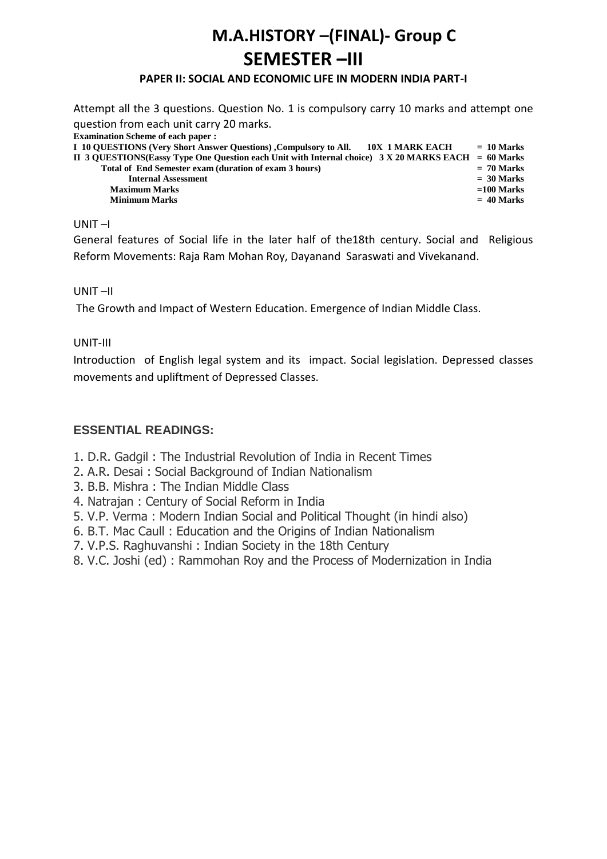# **M.A.HISTORY –(FINAL)- Group C SEMESTER –III**

## **PAPER II: SOCIAL AND ECONOMIC LIFE IN MODERN INDIA PART-I**

Attempt all the 3 questions. Question No. 1 is compulsory carry 10 marks and attempt one question from each unit carry 20 marks. **Examination Scheme of each paper : I 10 QUESTIONS (Very Short Answer Questions) ,Compulsory to All. 10X 1 MARK EACH = 10 Marks II 3 QUESTIONS(Eassy Type One Question each Unit with Internal choice) 3 X 20 MARKS EACH = 60 Marks Total of End Semester exam (duration of exam 3 hours) = 70 Marks**  *Internal Assessment*  $=$  30 Marks **Maximum Marks =100 Marks Minimum Marks = 40 Marks**

## UNIT –I

General features of Social life in the later half of the18th century. Social and Religious Reform Movements: Raja Ram Mohan Roy, Dayanand Saraswati and Vivekanand.

## UNIT –II

The Growth and Impact of Western Education. Emergence of Indian Middle Class.

## UNIT-III

Introduction of English legal system and its impact. Social legislation. Depressed classes movements and upliftment of Depressed Classes.

- 1. D.R. Gadgil : The Industrial Revolution of India in Recent Times
- 2. A.R. Desai : Social Background of Indian Nationalism
- 3. B.B. Mishra : The Indian Middle Class
- 4. Natrajan : Century of Social Reform in India
- 5. V.P. Verma : Modern Indian Social and Political Thought (in hindi also)
- 6. B.T. Mac Caull : Education and the Origins of Indian Nationalism
- 7. V.P.S. Raghuvanshi : Indian Society in the 18th Century
- 8. V.C. Joshi (ed) : Rammohan Roy and the Process of Modernization in India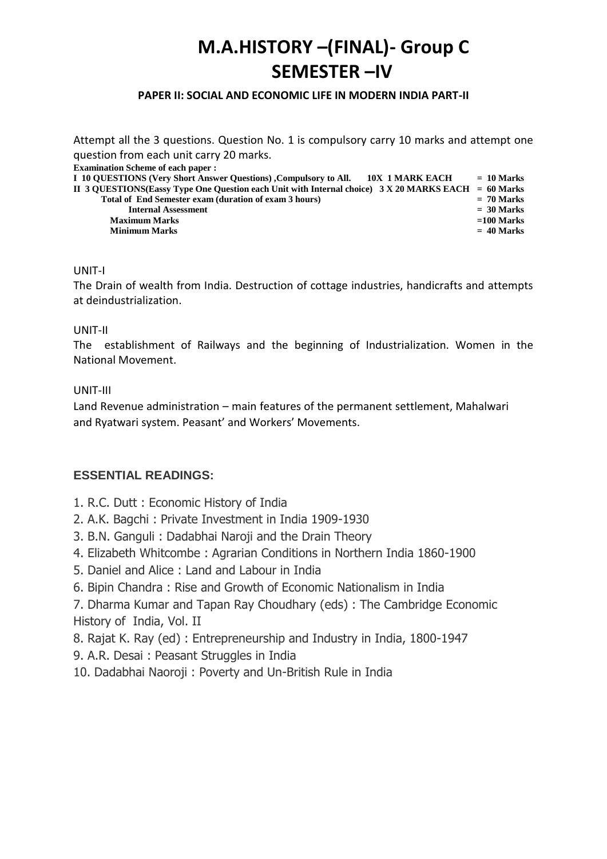# **M.A.HISTORY –(FINAL)- Group C SEMESTER –IV**

## **PAPER II: SOCIAL AND ECONOMIC LIFE IN MODERN INDIA PART-II**

Attempt all the 3 questions. Question No. 1 is compulsory carry 10 marks and attempt one question from each unit carry 20 marks.

**Examination Scheme of each paper :** 

| I 10 QUESTIONS (Very Short Answer Questions), Compulsory to All.<br>10X 1 MARK EACH                   | $= 10$ Marks |
|-------------------------------------------------------------------------------------------------------|--------------|
| II 3 QUESTIONS(Eassy Type One Question each Unit with Internal choice) $3 X 20$ MARKS EACH = 60 Marks |              |
| Total of End Semester exam (duration of exam 3 hours)                                                 | $= 70$ Marks |
| <b>Internal Assessment</b>                                                                            | $=$ 30 Marks |
| <b>Maximum Marks</b>                                                                                  | $=100$ Marks |
| <b>Minimum Marks</b>                                                                                  | $= 40$ Marks |
|                                                                                                       |              |

## UNIT-I

The Drain of wealth from India. Destruction of cottage industries, handicrafts and attempts at deindustrialization.

## UNIT-II

The establishment of Railways and the beginning of Industrialization. Women in the National Movement.

## UNIT-III

Land Revenue administration – main features of the permanent settlement, Mahalwari and Ryatwari system. Peasant' and Workers' Movements.

## **ESSENTIAL READINGS:**

- 1. R.C. Dutt : Economic History of India
- 2. A.K. Bagchi : Private Investment in India 1909-1930
- 3. B.N. Ganguli : Dadabhai Naroji and the Drain Theory
- 4. Elizabeth Whitcombe : Agrarian Conditions in Northern India 1860-1900
- 5. Daniel and Alice : Land and Labour in India
- 6. Bipin Chandra : Rise and Growth of Economic Nationalism in India

7. Dharma Kumar and Tapan Ray Choudhary (eds) : The Cambridge Economic History of India, Vol. II

- 8. Rajat K. Ray (ed) : Entrepreneurship and Industry in India, 1800-1947
- 9. A.R. Desai : Peasant Struggles in India
- 10. Dadabhai Naoroji : Poverty and Un-British Rule in India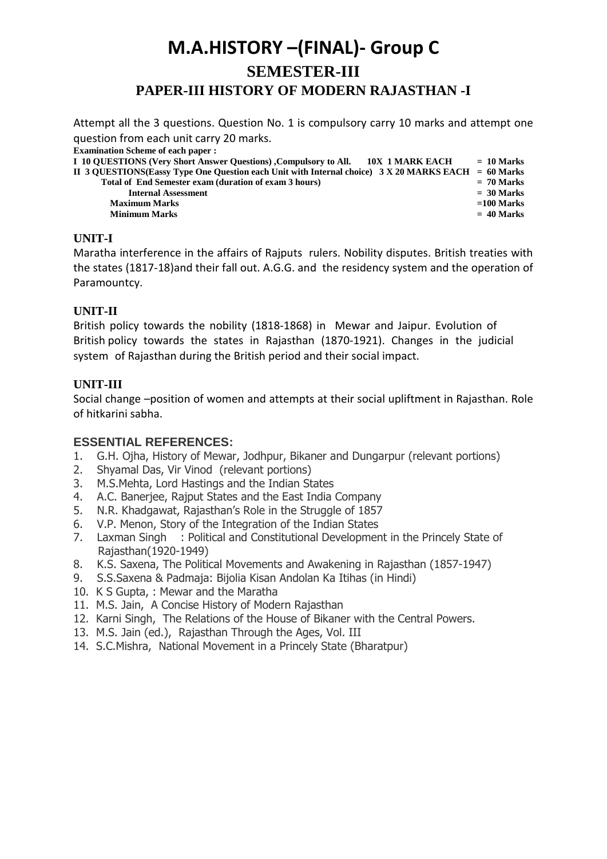## **M.A.HISTORY –(FINAL)- Group C SEMESTER-III PAPER-III HISTORY OF MODERN RAJASTHAN -I**

Attempt all the 3 questions. Question No. 1 is compulsory carry 10 marks and attempt one question from each unit carry 20 marks.

| <b>Examination Scheme of each paper:</b>                                                              |              |
|-------------------------------------------------------------------------------------------------------|--------------|
| I 10 QUESTIONS (Very Short Answer Questions) , Compulsory to All.<br>10X 1 MARK EACH                  | $= 10$ Marks |
| II 3 OUESTIONS(Eassy Type One Ouestion each Unit with Internal choice) $3 X 20$ MARKS EACH = 60 Marks |              |
| Total of End Semester exam (duration of exam 3 hours)                                                 | $= 70$ Marks |
| <b>Internal Assessment</b>                                                                            | $=$ 30 Marks |
| <b>Maximum Marks</b>                                                                                  | $=100$ Marks |
| <b>Minimum Marks</b>                                                                                  | $= 40$ Marks |

## **UNIT-I**

Maratha interference in the affairs of Rajputs rulers. Nobility disputes. British treaties with the states (1817-18)and their fall out. A.G.G. and the residency system and the operation of Paramountcy.

## **UNIT-II**

British policy towards the nobility (1818-1868) in Mewar and Jaipur. Evolution of British policy towards the states in Rajasthan (1870-1921). Changes in the judicial system of Rajasthan during the British period and their social impact.

## **UNIT-III**

Social change –position of women and attempts at their social upliftment in Rajasthan. Role of hitkarini sabha.

## **ESSENTIAL REFERENCES:**

- 1. G.H. Ojha, History of Mewar, Jodhpur, Bikaner and Dungarpur (relevant portions)
- 2. Shyamal Das, Vir Vinod (relevant portions)
- 3. M.S.Mehta, Lord Hastings and the Indian States
- 4. A.C. Banerjee, Rajput States and the East India Company
- 5. N.R. Khadgawat, Rajasthan's Role in the Struggle of 1857
- 6. V.P. Menon, Story of the Integration of the Indian States
- 7. Laxman Singh : Political and Constitutional Development in the Princely State of Rajasthan(1920-1949)
- 8. K.S. Saxena, The Political Movements and Awakening in Rajasthan (1857-1947)
- 9. S.S.Saxena & Padmaja: Bijolia Kisan Andolan Ka Itihas (in Hindi)
- 10. K S Gupta, : Mewar and the Maratha
- 11. M.S. Jain, A Concise History of Modern Rajasthan
- 12. Karni Singh, The Relations of the House of Bikaner with the Central Powers.
- 13. M.S. Jain (ed.), Rajasthan Through the Ages, Vol. III
- 14. S.C.Mishra, National Movement in a Princely State (Bharatpur)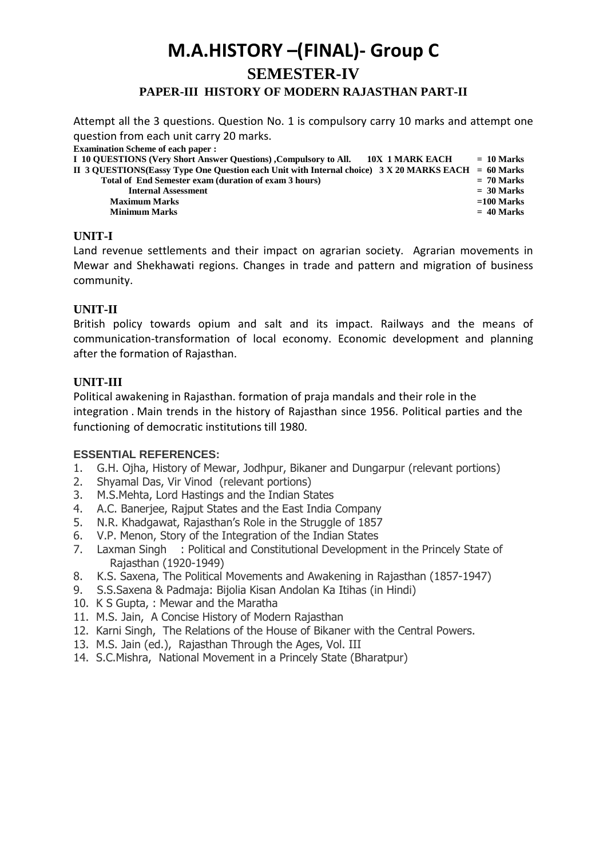## **M.A.HISTORY –(FINAL)- Group C SEMESTER-IV PAPER-III HISTORY OF MODERN RAJASTHAN PART-II**

Attempt all the 3 questions. Question No. 1 is compulsory carry 10 marks and attempt one question from each unit carry 20 marks.

**Examination Scheme of each paper :** 

| I 10 QUESTIONS (Very Short Answer Ouestions) Compulsory to All. 10X 1 MARK EACH                       | $= 10$ Marks |
|-------------------------------------------------------------------------------------------------------|--------------|
| II 3 QUESTIONS(Eassy Type One Question each Unit with Internal choice) $3 X 20$ MARKS EACH = 60 Marks |              |
| Total of End Semester exam (duration of exam 3 hours)                                                 | $= 70$ Marks |
| <b>Internal Assessment</b>                                                                            | $=$ 30 Marks |
| <b>Maximum Marks</b>                                                                                  | $=100$ Marks |
| <b>Minimum Marks</b>                                                                                  | $= 40$ Marks |
|                                                                                                       |              |

## **UNIT-I**

Land revenue settlements and their impact on agrarian society. Agrarian movements in Mewar and Shekhawati regions. Changes in trade and pattern and migration of business community.

## **UNIT-II**

British policy towards opium and salt and its impact. Railways and the means of communication-transformation of local economy. Economic development and planning after the formation of Rajasthan.

## **UNIT-III**

Political awakening in Rajasthan. formation of praja mandals and their role in the integration . Main trends in the history of Rajasthan since 1956. Political parties and the functioning of democratic institutions till 1980.

## **ESSENTIAL REFERENCES:**

- 1. G.H. Ojha, History of Mewar, Jodhpur, Bikaner and Dungarpur (relevant portions)
- 2. Shyamal Das, Vir Vinod (relevant portions)
- 3. M.S.Mehta, Lord Hastings and the Indian States
- 4. A.C. Banerjee, Rajput States and the East India Company
- 5. N.R. Khadgawat, Rajasthan's Role in the Struggle of 1857
- 6. V.P. Menon, Story of the Integration of the Indian States
- 7. Laxman Singh : Political and Constitutional Development in the Princely State of Rajasthan (1920-1949)
- 8. K.S. Saxena, The Political Movements and Awakening in Rajasthan (1857-1947)
- 9. S.S.Saxena & Padmaja: Bijolia Kisan Andolan Ka Itihas (in Hindi)
- 10. K S Gupta, : Mewar and the Maratha
- 11. M.S. Jain, A Concise History of Modern Rajasthan
- 12. Karni Singh, The Relations of the House of Bikaner with the Central Powers.
- 13. M.S. Jain (ed.), Rajasthan Through the Ages, Vol. III
- 14. S.C.Mishra, National Movement in a Princely State (Bharatpur)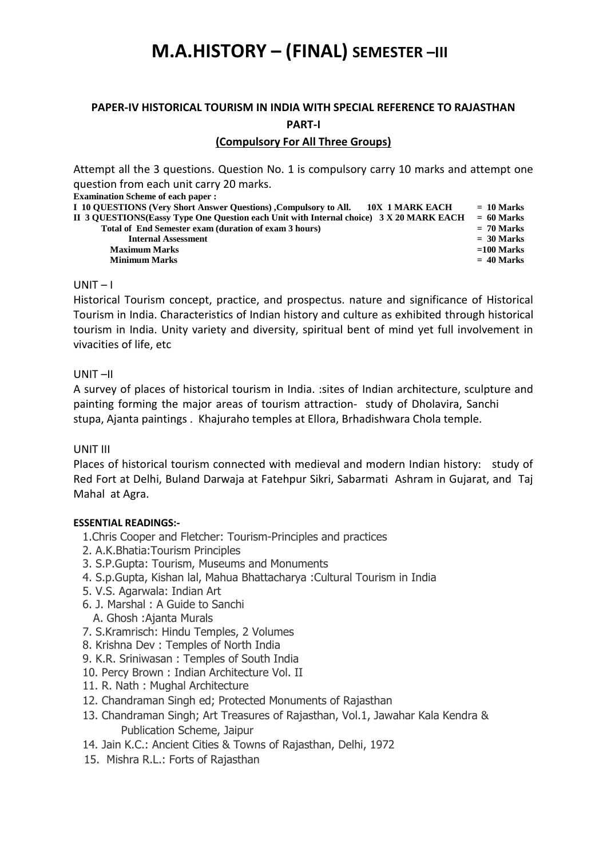## **M.A.HISTORY – (FINAL) SEMESTER –III**

## **PAPER-IV HISTORICAL TOURISM IN INDIA WITH SPECIAL REFERENCE TO RAJASTHAN PART-I**

## **(Compulsory For All Three Groups)**

Attempt all the 3 questions. Question No. 1 is compulsory carry 10 marks and attempt one question from each unit carry 20 marks.

**Examination Scheme of each paper :** 

| I 10 OUESTIONS (Very Short Answer Questions), Compulsory to All.<br><b>10X 1 MARK EACH</b> | $= 10$ Marks |
|--------------------------------------------------------------------------------------------|--------------|
| II 3 OUESTIONS(Eassy Type One Ouestion each Unit with Internal choice) 3 X 20 MARK EACH    | $= 60$ Marks |
| Total of End Semester exam (duration of exam 3 hours)                                      | $= 70$ Marks |
| <b>Internal Assessment</b>                                                                 | $=$ 30 Marks |
| <b>Maximum Marks</b>                                                                       | $=100$ Marks |
| <b>Minimum Marks</b>                                                                       | $= 40$ Marks |
|                                                                                            |              |

## $UNIT - I$

Historical Tourism concept, practice, and prospectus. nature and significance of Historical Tourism in India. Characteristics of Indian history and culture as exhibited through historical tourism in India. Unity variety and diversity, spiritual bent of mind yet full involvement in vivacities of life, etc

## UNIT –II

A survey of places of historical tourism in India. :sites of Indian architecture, sculpture and painting forming the major areas of tourism attraction- study of Dholavira, Sanchi stupa, Ajanta paintings . Khajuraho temples at Ellora, Brhadishwara Chola temple.

## UNIT III

Places of historical tourism connected with medieval and modern Indian history: study of Red Fort at Delhi, Buland Darwaja at Fatehpur Sikri, Sabarmati Ashram in Gujarat, and Taj Mahal at Agra.

- 1.Chris Cooper and Fletcher: Tourism-Principles and practices
- 2. A.K.Bhatia:Tourism Principles
- 3. S.P.Gupta: Tourism, Museums and Monuments
- 4. S.p.Gupta, Kishan lal, Mahua Bhattacharya :Cultural Tourism in India
- 5. V.S. Agarwala: Indian Art
- 6. J. Marshal : A Guide to Sanchi
- A. Ghosh :Ajanta Murals
- 7. S.Kramrisch: Hindu Temples, 2 Volumes
- 8. Krishna Dev : Temples of North India
- 9. K.R. Sriniwasan : Temples of South India
- 10. Percy Brown : Indian Architecture Vol. II
- 11. R. Nath : Mughal Architecture
- 12. Chandraman Singh ed; Protected Monuments of Rajasthan
- 13. Chandraman Singh; Art Treasures of Rajasthan, Vol.1, Jawahar Kala Kendra & Publication Scheme, Jaipur
- 14. Jain K.C.: Ancient Cities & Towns of Rajasthan, Delhi, 1972
- 15. Mishra R.L.: Forts of Rajasthan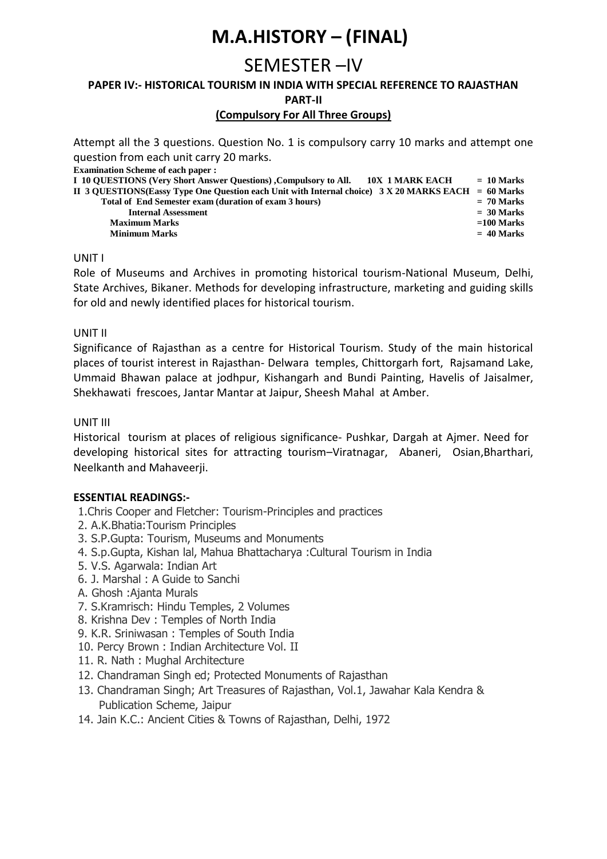# **M.A.HISTORY – (FINAL)**

## SEMESTER –IV

## **PAPER IV:- HISTORICAL TOURISM IN INDIA WITH SPECIAL REFERENCE TO RAJASTHAN PART-II**

## **(Compulsory For All Three Groups)**

Attempt all the 3 questions. Question No. 1 is compulsory carry 10 marks and attempt one question from each unit carry 20 marks.

| <b>Examination Scheme of each paper :</b>                                                             |              |
|-------------------------------------------------------------------------------------------------------|--------------|
| I 10 QUESTIONS (Very Short Answer Questions) , Compulsory to All.<br>10X 1 MARK EACH                  | $= 10$ Marks |
| II 3 QUESTIONS(Eassy Type One Question each Unit with Internal choice) $3 X 20$ MARKS EACH = 60 Marks |              |
| Total of End Semester exam (duration of exam 3 hours)                                                 | $= 70$ Marks |
| <b>Internal Assessment</b>                                                                            | $=$ 30 Marks |
| <b>Maximum Marks</b>                                                                                  | $=100$ Marks |
| <b>Minimum Marks</b>                                                                                  | $= 40$ Marks |

## UNIT I

Role of Museums and Archives in promoting historical tourism-National Museum, Delhi, State Archives, Bikaner. Methods for developing infrastructure, marketing and guiding skills for old and newly identified places for historical tourism.

## UNIT II

Significance of Rajasthan as a centre for Historical Tourism. Study of the main historical places of tourist interest in Rajasthan- Delwara temples, Chittorgarh fort, Rajsamand Lake, Ummaid Bhawan palace at jodhpur, Kishangarh and Bundi Painting, Havelis of Jaisalmer, Shekhawati frescoes, Jantar Mantar at Jaipur, Sheesh Mahal at Amber.

## UNIT III

Historical tourism at places of religious significance- Pushkar, Dargah at Ajmer. Need for developing historical sites for attracting tourism–Viratnagar, Abaneri, Osian,Bharthari, Neelkanth and Mahaveerji.

## **ESSENTIAL READINGS:-**

1.Chris Cooper and Fletcher: Tourism-Principles and practices

- 2. A.K.Bhatia:Tourism Principles
- 3. S.P.Gupta: Tourism, Museums and Monuments
- 4. S.p.Gupta, Kishan lal, Mahua Bhattacharya :Cultural Tourism in India
- 5. V.S. Agarwala: Indian Art
- 6. J. Marshal : A Guide to Sanchi
- A. Ghosh :Ajanta Murals
- 7. S.Kramrisch: Hindu Temples, 2 Volumes
- 8. Krishna Dev : Temples of North India
- 9. K.R. Sriniwasan : Temples of South India
- 10. Percy Brown : Indian Architecture Vol. II
- 11. R. Nath : Mughal Architecture
- 12. Chandraman Singh ed; Protected Monuments of Rajasthan
- 13. Chandraman Singh; Art Treasures of Rajasthan, Vol.1, Jawahar Kala Kendra & Publication Scheme, Jaipur
- 14. Jain K.C.: Ancient Cities & Towns of Rajasthan, Delhi, 1972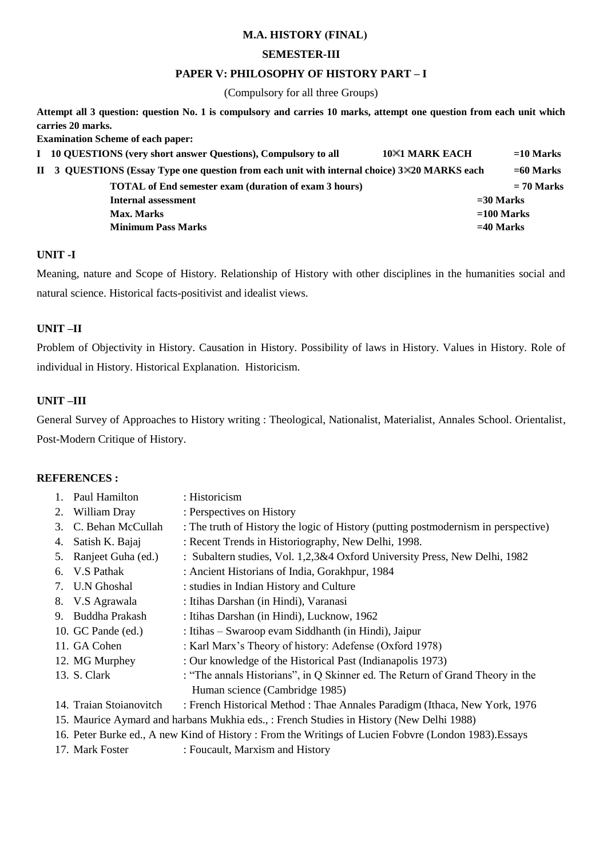## **M.A. HISTORY (FINAL)**

## **SEMESTER-III**

## **PAPER V: PHILOSOPHY OF HISTORY PART – I**

(Compulsory for all three Groups)

**Attempt all 3 question: question No. 1 is compulsory and carries 10 marks, attempt one question from each unit which carries 20 marks.** 

**Examination Scheme of each paper:** 

| I 10 QUESTIONS (very short answer Questions), Compulsory to all                              | <b>10×1 MARK EACH</b> | $=$ 10 Marks |
|----------------------------------------------------------------------------------------------|-----------------------|--------------|
| II 3 QUESTIONS (Essay Type one question from each unit with internal choice) 3×20 MARKS each |                       | $= 60$ Marks |
| <b>TOTAL</b> of End semester exam (duration of exam 3 hours)                                 |                       | $= 70$ Marks |
| Internal assessment                                                                          | $=$ 30 Marks          |              |
| Max. Marks                                                                                   | $=100$ Marks          |              |
| <b>Minimum Pass Marks</b>                                                                    | $=40$ Marks           |              |

## **UNIT -I**

Meaning, nature and Scope of History. Relationship of History with other disciplines in the humanities social and natural science. Historical facts-positivist and idealist views.

## **UNIT –II**

Problem of Objectivity in History. Causation in History. Possibility of laws in History. Values in History. Role of individual in History. Historical Explanation. Historicism.

## **UNIT –III**

General Survey of Approaches to History writing : Theological, Nationalist, Materialist, Annales School. Orientalist, Post-Modern Critique of History.

## **REFERENCES :**

|    | 1. Paul Hamilton        | : Historicism                                                                            |
|----|-------------------------|------------------------------------------------------------------------------------------|
| 2. | William Dray            | : Perspectives on History                                                                |
|    | 3. C. Behan McCullah    | : The truth of History the logic of History (putting postmodernism in perspective)       |
| 4. | Satish K. Bajaj         | : Recent Trends in Historiography, New Delhi, 1998.                                      |
|    | 5. Ranjeet Guha (ed.)   | : Subaltern studies, Vol. 1,2,3&4 Oxford University Press, New Delhi, 1982               |
|    | 6. V.S Pathak           | : Ancient Historians of India, Gorakhpur, 1984                                           |
|    | 7. U.N Ghoshal          | : studies in Indian History and Culture                                                  |
|    | 8. V.S Agrawala         | : Itihas Darshan (in Hindi), Varanasi                                                    |
|    | 9. Buddha Prakash       | : Itihas Darshan (in Hindi), Lucknow, 1962                                               |
|    | 10. GC Pande (ed.)      | : Itihas – Swaroop evam Siddhanth (in Hindi), Jaipur                                     |
|    | 11. GA Cohen            | : Karl Marx's Theory of history: Adefense (Oxford 1978)                                  |
|    | 12. MG Murphey          | : Our knowledge of the Historical Past (Indianapolis 1973)                               |
|    | 13. S. Clark            | : "The annals Historians", in Q Skinner ed. The Return of Grand Theory in the            |
|    |                         | Human science (Cambridge 1985)                                                           |
|    | 14. Traian Stoianovitch | : French Historical Method : Thae Annales Paradigm (Ithaca, New York, 1976)              |
|    |                         | 15. Maurice Aymard and harbans Mukhia eds., : French Studies in History (New Delhi 1988) |

- 16. Peter Burke ed., A new Kind of History : From the Writings of Lucien Fobvre (London 1983).Essays
- 17. Mark Foster : Foucault, Marxism and History